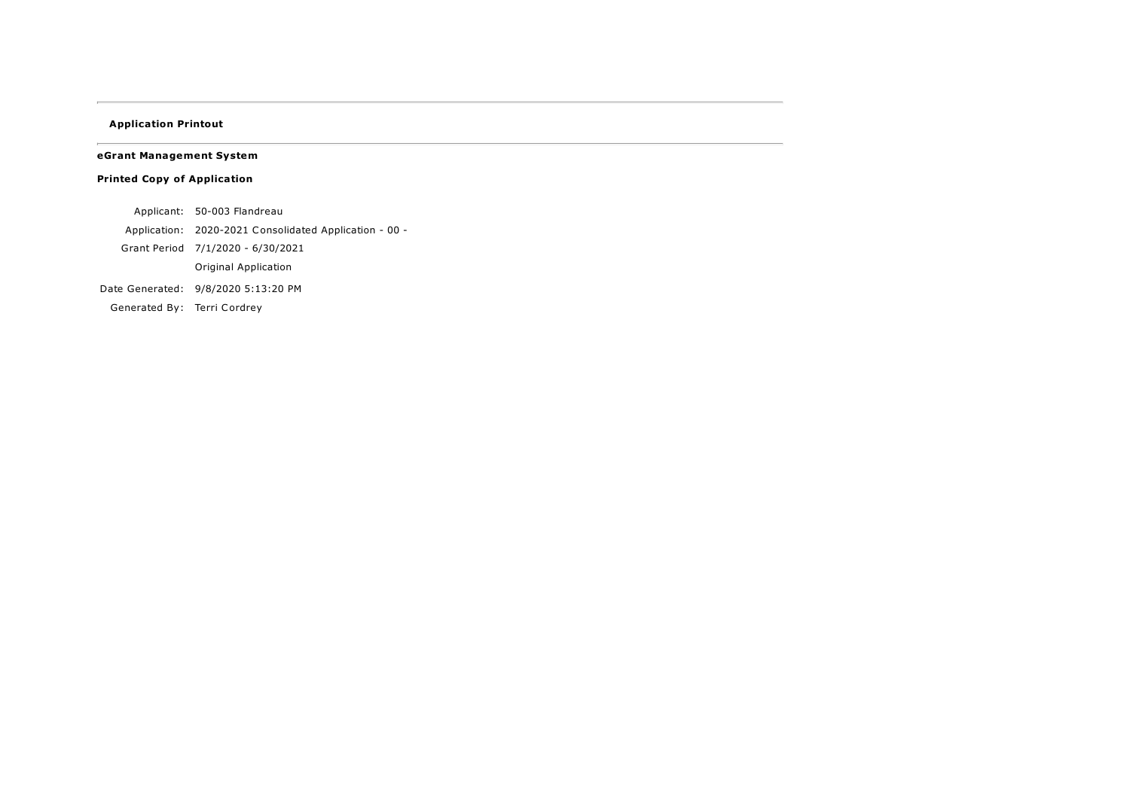## <span id="page-0-0"></span>Application Printout

eGrant Management System

## Printed Copy of Application

Applicant: 50-003 Flandreau

Application: 2020-2021 Consolidated Application - 00 -

Grant Period 7/1/2020 - 6/30/2021

Original Application

Date Generated: 9/8/2020 5:13:20 PM

Generated By: Terri Cordrey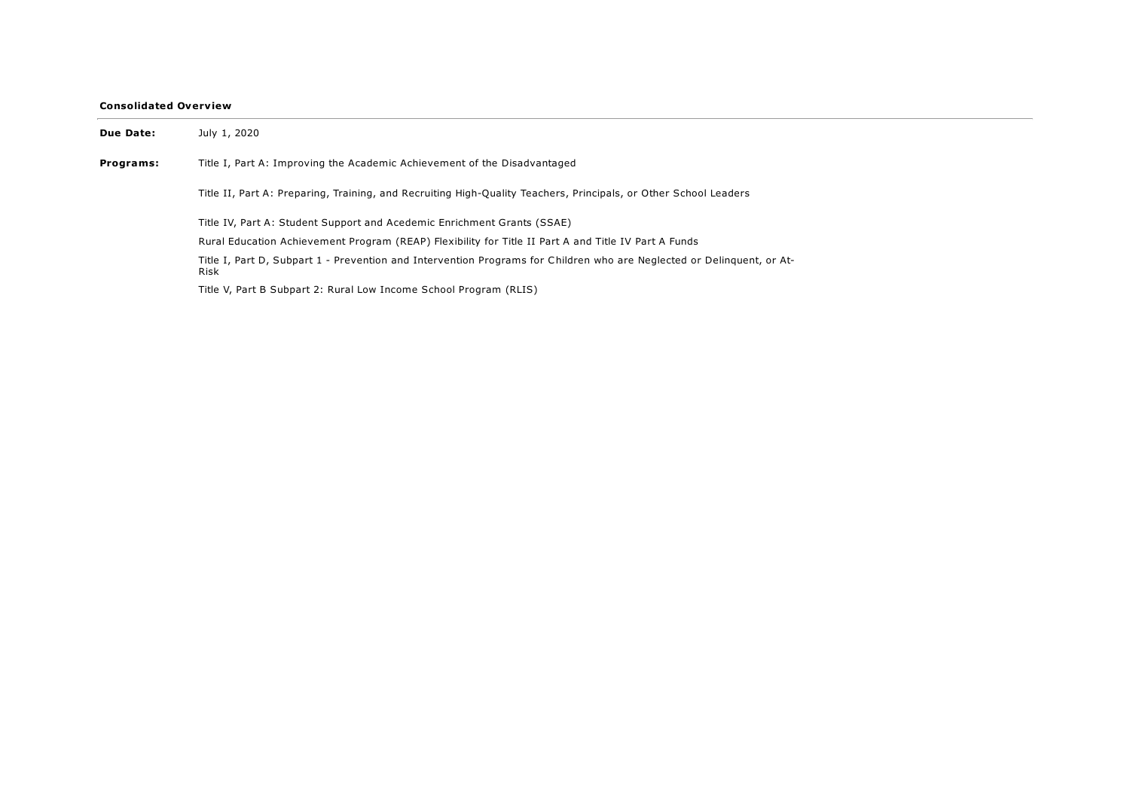## Consolidated Overview

| Due Date: | July 1, 2020                                                                                                                   |
|-----------|--------------------------------------------------------------------------------------------------------------------------------|
| Programs: | Title I, Part A: Improving the Academic Achievement of the Disadvantaged                                                       |
|           | Title II, Part A: Preparing, Training, and Recruiting High-Quality Teachers, Principals, or Other School Leaders               |
|           | Title IV, Part A: Student Support and Acedemic Enrichment Grants (SSAE)                                                        |
|           | Rural Education Achievement Program (REAP) Flexibility for Title II Part A and Title IV Part A Funds                           |
|           | Title I, Part D, Subpart 1 - Prevention and Intervention Programs for Children who are Neglected or Delinguent, or At-<br>Risk |
|           | Title V, Part B Subpart 2: Rural Low Income School Program (RLIS)                                                              |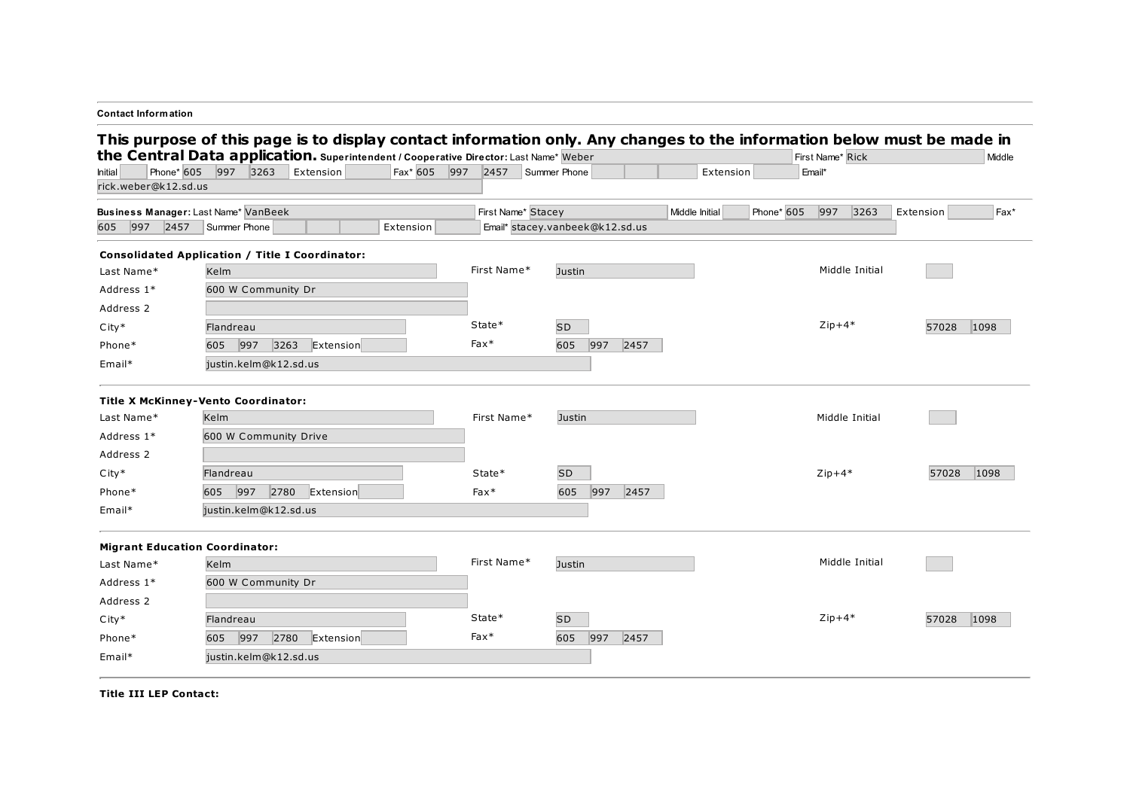| <b>Contact Information</b>                                                                                                                                                                                      |                       |      |           |              |                                 |           |     |      |                |            |                  |                |           |       |        |
|-----------------------------------------------------------------------------------------------------------------------------------------------------------------------------------------------------------------|-----------------------|------|-----------|--------------|---------------------------------|-----------|-----|------|----------------|------------|------------------|----------------|-----------|-------|--------|
| This purpose of this page is to display contact information only. Any changes to the information below must be made in<br>the Central Data application. Superintendent / Cooperative Director: Last Name* Weber |                       |      |           |              |                                 |           |     |      |                |            | First Name* Rick |                |           |       | Middle |
| Phone* 605<br>Initial                                                                                                                                                                                           | 997 3263              |      | Extension | Fax* 605 997 | 2457 Summer Phone               |           |     |      | Extension      |            | Email*           |                |           |       |        |
| rick.weber@k12.sd.us                                                                                                                                                                                            |                       |      |           |              |                                 |           |     |      |                |            |                  |                |           |       |        |
| Business Manager: Last Name* VanBeek                                                                                                                                                                            |                       |      |           |              | First Name* Stacey              |           |     |      | Middle Initial | Phone* 605 | 997              | 3263           | Extension |       | Fax*   |
| 605 997 2457                                                                                                                                                                                                    | Summer Phone          |      |           | Extension    | Email* stacey.vanbeek@k12.sd.us |           |     |      |                |            |                  |                |           |       |        |
| <b>Consolidated Application / Title I Coordinator:</b>                                                                                                                                                          |                       |      |           |              |                                 |           |     |      |                |            |                  |                |           |       |        |
| Last Name*                                                                                                                                                                                                      | Kelm                  |      |           |              | First Name*                     | Justin    |     |      |                |            |                  | Middle Initial |           |       |        |
| Address 1*                                                                                                                                                                                                      | 600 W Community Dr    |      |           |              |                                 |           |     |      |                |            |                  |                |           |       |        |
| Address 2                                                                                                                                                                                                       |                       |      |           |              |                                 |           |     |      |                |            |                  |                |           |       |        |
| $City*$                                                                                                                                                                                                         | Flandreau             |      |           |              | State*                          | <b>SD</b> |     |      |                |            | $Zip+4*$         |                |           | 57028 | 1098   |
| Phone*                                                                                                                                                                                                          | 605 997               | 3263 | Extension |              | $Fax*$                          | 605       | 997 | 2457 |                |            |                  |                |           |       |        |
| Email*                                                                                                                                                                                                          | justin.kelm@k12.sd.us |      |           |              |                                 |           |     |      |                |            |                  |                |           |       |        |
| <b>Title X McKinney-Vento Coordinator:</b>                                                                                                                                                                      |                       |      |           |              |                                 |           |     |      |                |            |                  |                |           |       |        |
| Last Name*                                                                                                                                                                                                      | Kelm                  |      |           |              | First Name*                     | Justin    |     |      |                |            |                  | Middle Initial |           |       |        |
| Address 1*                                                                                                                                                                                                      | 600 W Community Drive |      |           |              |                                 |           |     |      |                |            |                  |                |           |       |        |
| Address 2                                                                                                                                                                                                       |                       |      |           |              |                                 |           |     |      |                |            |                  |                |           |       |        |
| $City*$                                                                                                                                                                                                         | Flandreau             |      |           |              | State*                          | <b>SD</b> |     |      |                |            | $Zip+4*$         |                |           | 57028 | 1098   |
| Phone*                                                                                                                                                                                                          | 997<br>605            | 2780 | Extension |              | $Fax*$                          | 605       | 997 | 2457 |                |            |                  |                |           |       |        |
| Email*                                                                                                                                                                                                          | justin.kelm@k12.sd.us |      |           |              |                                 |           |     |      |                |            |                  |                |           |       |        |
| <b>Migrant Education Coordinator:</b>                                                                                                                                                                           |                       |      |           |              |                                 |           |     |      |                |            |                  |                |           |       |        |
| Last Name*                                                                                                                                                                                                      | Kelm                  |      |           |              | First Name*                     | Justin    |     |      |                |            |                  | Middle Initial |           |       |        |
| Address 1*                                                                                                                                                                                                      | 600 W Community Dr    |      |           |              |                                 |           |     |      |                |            |                  |                |           |       |        |
| Address 2                                                                                                                                                                                                       |                       |      |           |              |                                 |           |     |      |                |            |                  |                |           |       |        |
| $City*$                                                                                                                                                                                                         | Flandreau             |      |           |              | State*                          | <b>SD</b> |     |      |                |            | $Zip+4*$         |                |           | 57028 | 1098   |
| Phone*                                                                                                                                                                                                          | 605 997               | 2780 | Extension |              | $Fax*$                          | 605       | 997 | 2457 |                |            |                  |                |           |       |        |
| Email*                                                                                                                                                                                                          | justin.kelm@k12.sd.us |      |           |              |                                 |           |     |      |                |            |                  |                |           |       |        |

Title III LEP Contact: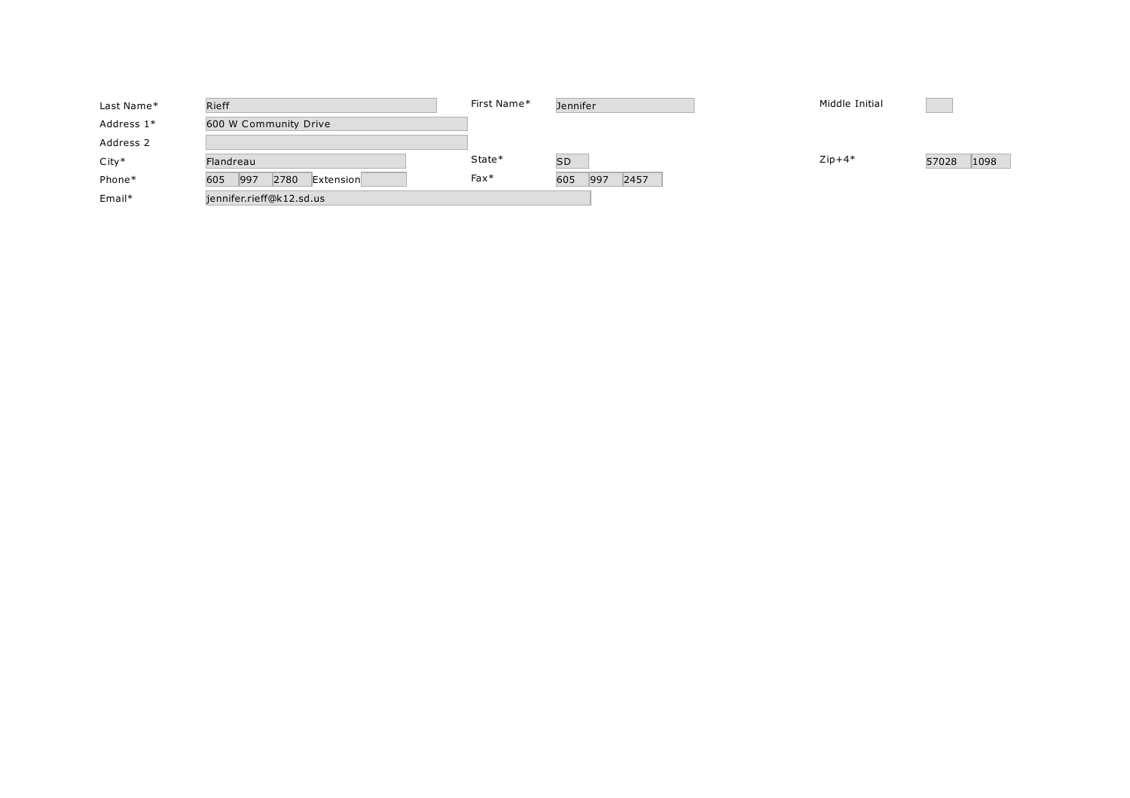| Last Name* | Rieff                           | First Name* | <b>Jennifer</b>    | Middle Initial |               |
|------------|---------------------------------|-------------|--------------------|----------------|---------------|
| Address 1* | 600 W Community Drive           |             |                    |                |               |
| Address 2  |                                 |             |                    |                |               |
| $City*$    | Flandreau                       | State*      | <b>SD</b>          | $Zip+4*$       | 1098<br>57028 |
| Phone*     | 997<br>605<br>2780<br>Extension | $Fax*$      | 2457<br>605<br>997 |                |               |
| Email*     | jennifer.rieff@k12.sd.us        |             |                    |                |               |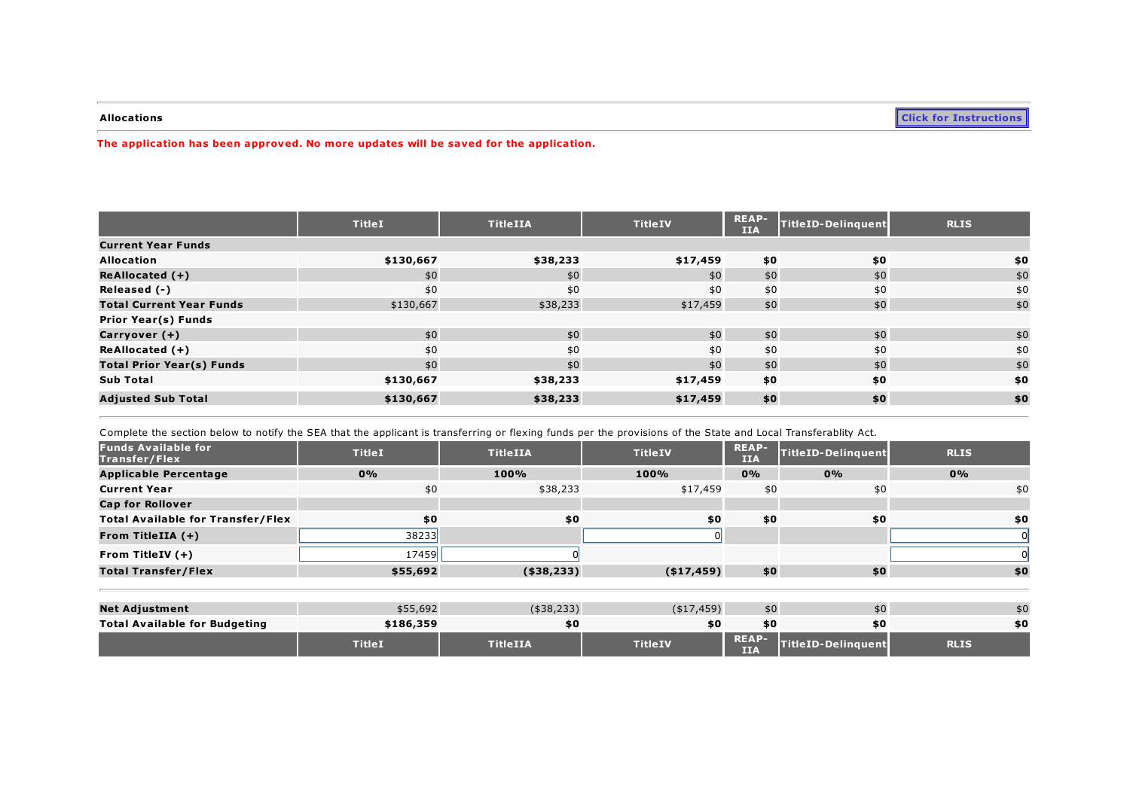**Allocations Click for [Instructions](https://sddoe.mtwgms.org/SDDOEGMSWeb/PageRefDocs/Transferability.pdf)** 

The application has been approved. No more updates will be saved for the application.

|                                  | <b>TitleI</b> | <b>TitleIIA</b> | <b>TitleIV</b> | <b>REAP-</b><br><b>IIA</b> | TitleID-Delinquent | <b>RLIS</b> |
|----------------------------------|---------------|-----------------|----------------|----------------------------|--------------------|-------------|
| <b>Current Year Funds</b>        |               |                 |                |                            |                    |             |
| <b>Allocation</b>                | \$130,667     | \$38,233        | \$17,459       | \$0                        | \$0                | \$0         |
| $ReAllocated (+)$                | \$0           | \$0             | \$0            | \$0                        | \$0                | \$0         |
| Released (-)                     | \$0           | \$0             | \$0            | \$0                        | \$0                | \$0         |
| <b>Total Current Year Funds</b>  | \$130,667     | \$38,233        | \$17,459       | \$0                        | \$0                | \$0         |
| <b>Prior Year(s) Funds</b>       |               |                 |                |                            |                    |             |
| Carryover (+)                    | \$0           | \$0             | \$0            | \$0                        | \$0                | \$0         |
| ReAllocated $(+)$                | \$0           | \$0             | \$0            | \$0                        | \$0                | \$0         |
| <b>Total Prior Year(s) Funds</b> | \$0           | \$0             | \$0            | \$0                        | \$0                | \$0         |
| <b>Sub Total</b>                 | \$130,667     | \$38,233        | \$17,459       | \$0                        | \$0                | \$0         |
| <b>Adjusted Sub Total</b>        | \$130,667     | \$38,233        | \$17,459       | \$0                        | \$0                | \$0         |

Complete the section below to notify the SEA that the applicant is transferring or flexing funds per the provisions of the State and Local Transferablity Act.

| <b>Funds Available for</b><br>Transfer/Flex | <b>TitleI</b> | <b>TitleIIA</b> | <b>TitleIV</b> | <b>REAP-</b><br><b>IIA</b> | TitleID-Delinguent        | <b>RLIS</b> |
|---------------------------------------------|---------------|-----------------|----------------|----------------------------|---------------------------|-------------|
| <b>Applicable Percentage</b>                | 0%            | 100%            | 100%           | $0\%$                      | 0%                        | 0%          |
| <b>Current Year</b>                         | \$0           | \$38,233        | \$17,459       | \$0                        | \$0                       | \$0         |
| <b>Cap for Rollover</b>                     |               |                 |                |                            |                           |             |
| <b>Total Available for Transfer/Flex</b>    | \$0           | \$0             | \$0            | \$0                        | \$0                       | \$0         |
| From TitleIIA $(+)$                         | 38233         |                 |                |                            |                           |             |
| From TitleIV $(+)$                          | 17459         |                 |                |                            |                           |             |
| <b>Total Transfer/Flex</b>                  | \$55,692      | ( \$38, 233)    | ( \$17,459)    | \$0                        | \$0                       | \$0         |
|                                             |               |                 |                |                            |                           |             |
| <b>Net Adjustment</b>                       | \$55,692      | $(*38,233)$     | ( \$17,459)    | \$0                        | \$0                       | \$0         |
| <b>Total Available for Budgeting</b>        | \$186,359     | \$0             | \$0            | \$0                        | \$0                       | \$0         |
|                                             | <b>TitleI</b> | <b>TitleIIA</b> | <b>TitleIV</b> | <b>REAP-</b><br><b>IIA</b> | <b>TitleID-Delinguent</b> | <b>RLIS</b> |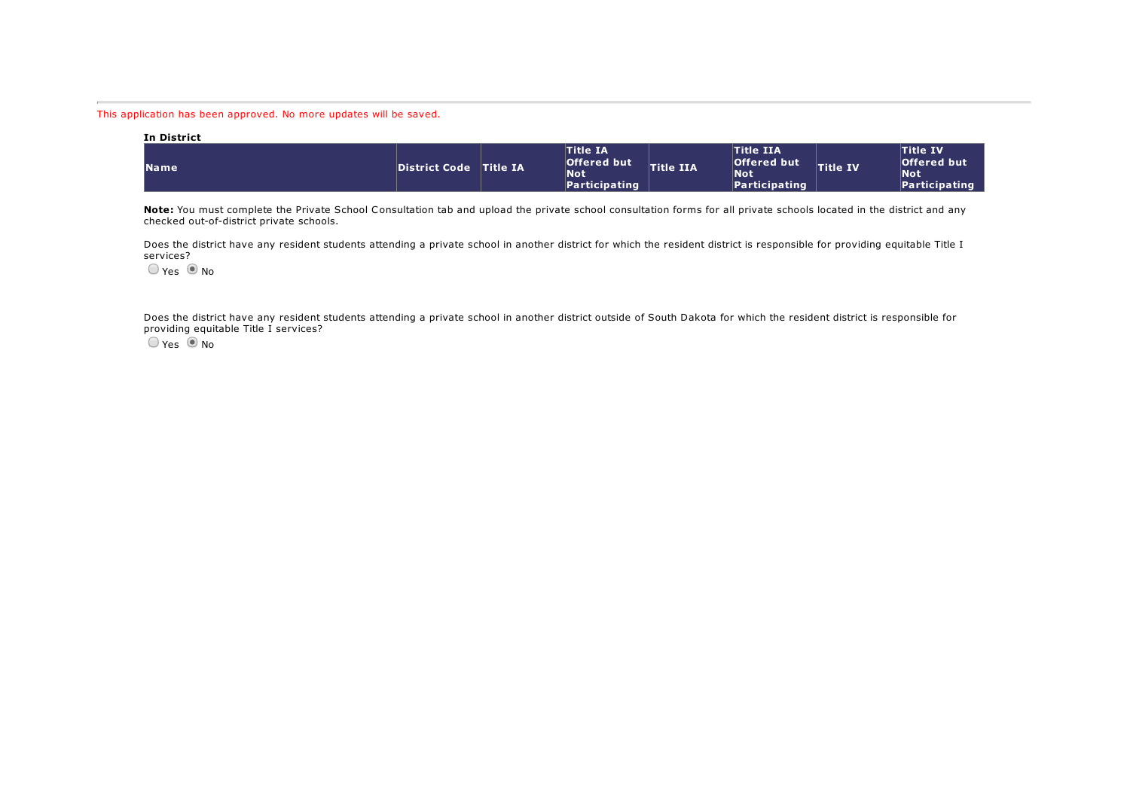This application has been approved. No more updates will be saved.

| In District |                        |                                                                      |                  |                                                                |                 |                                                                      |
|-------------|------------------------|----------------------------------------------------------------------|------------------|----------------------------------------------------------------|-----------------|----------------------------------------------------------------------|
| <b>Name</b> | District Code Title IA | <b>Title IA</b><br><b>Offered but</b><br><b>Not</b><br>Participating | <b>Title IIA</b> | <b>Title IIA</b><br>Offered but<br><b>Not</b><br>Participating | <b>Title IV</b> | <b>Title IV</b><br><b>Offered but</b><br><b>Not</b><br>Participating |

Note: You must complete the Private School Consultation tab and upload the private school consultation forms for all private schools located in the district and any checked out-of-district private schools.

Does the district have any resident students attending a private school in another district for which the resident district is responsible for providing equitable Title I services?

 $O$  Yes  $\odot$  No

Does the district have any resident students attending a private school in another district outside of South Dakota for which the resident district is responsible for providing equitable Title I services?

 $O$  Yes  $\odot$  No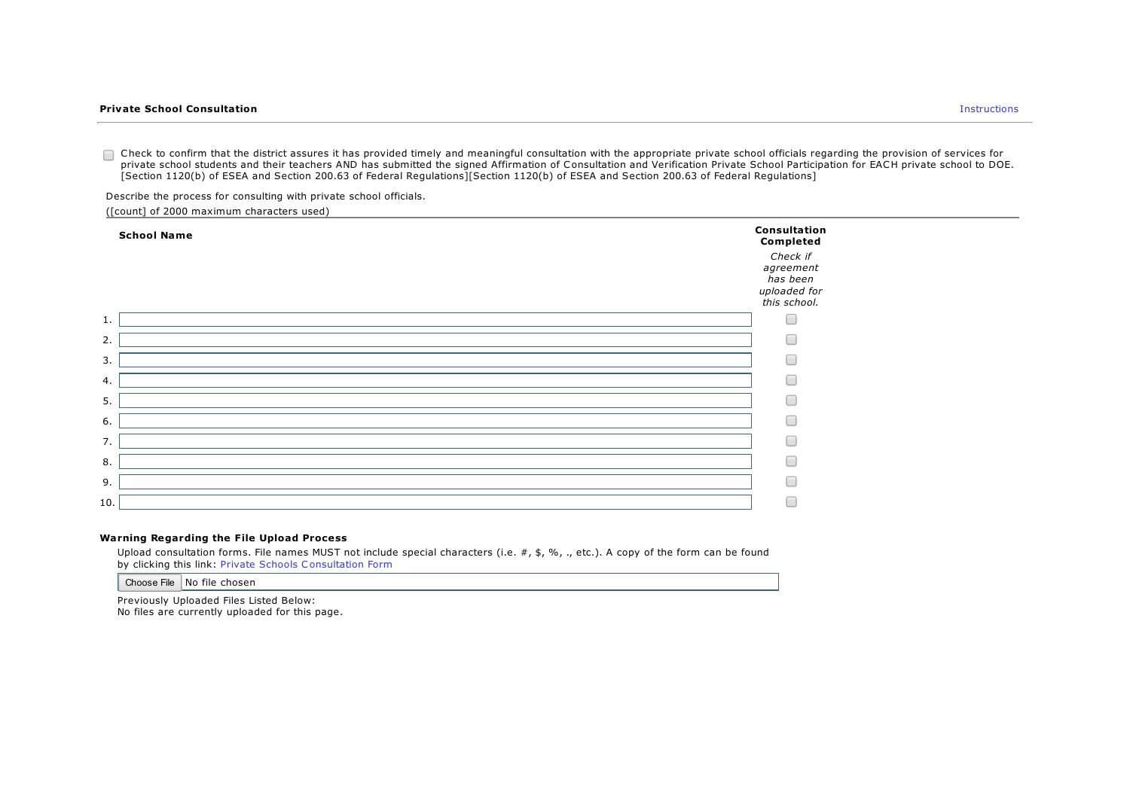Check to confirm that the district assures it has provided timely and meaningful consultation with the appropriate private school officials regarding the provision of services for private school students and their teachers AND has submitted the signed Affirmation of Consultation and Verification Private School Participation for EACH private school to DOE. [Section 1120(b) of ESEA and Section 200.63 of Federal Regulations][Section 1120(b) of ESEA and Section 200.63 of Federal Regulations]

Describe the process for consulting with private school officials.

([count] of 2000 maximum characters used)

|     | <b>School Name</b> | <b>Consultation</b><br>Completed                                  |
|-----|--------------------|-------------------------------------------------------------------|
|     |                    | Check if<br>agreement<br>has been<br>uploaded for<br>this school. |
| 1.  |                    |                                                                   |
| 2.  |                    | ┌                                                                 |
| 3.  |                    |                                                                   |
| 4.  |                    |                                                                   |
| 5.  |                    | ┌                                                                 |
| 6.  |                    | ┌                                                                 |
| 7.  |                    | r i                                                               |
| 8.  |                    |                                                                   |
| 9.  |                    | ┌                                                                 |
| 10. |                    | ┌                                                                 |
|     |                    |                                                                   |

#### Warning Regarding the File Upload Process

Upload consultation forms. File names MUST not include special characters (i.e. #, \$, %, ., etc.). A copy of the form can be found by clicking this link: Private Schools Consultation Form

Choose File No file chosen

Previously Uploaded Files Listed Below: No files are currently uploaded for this page.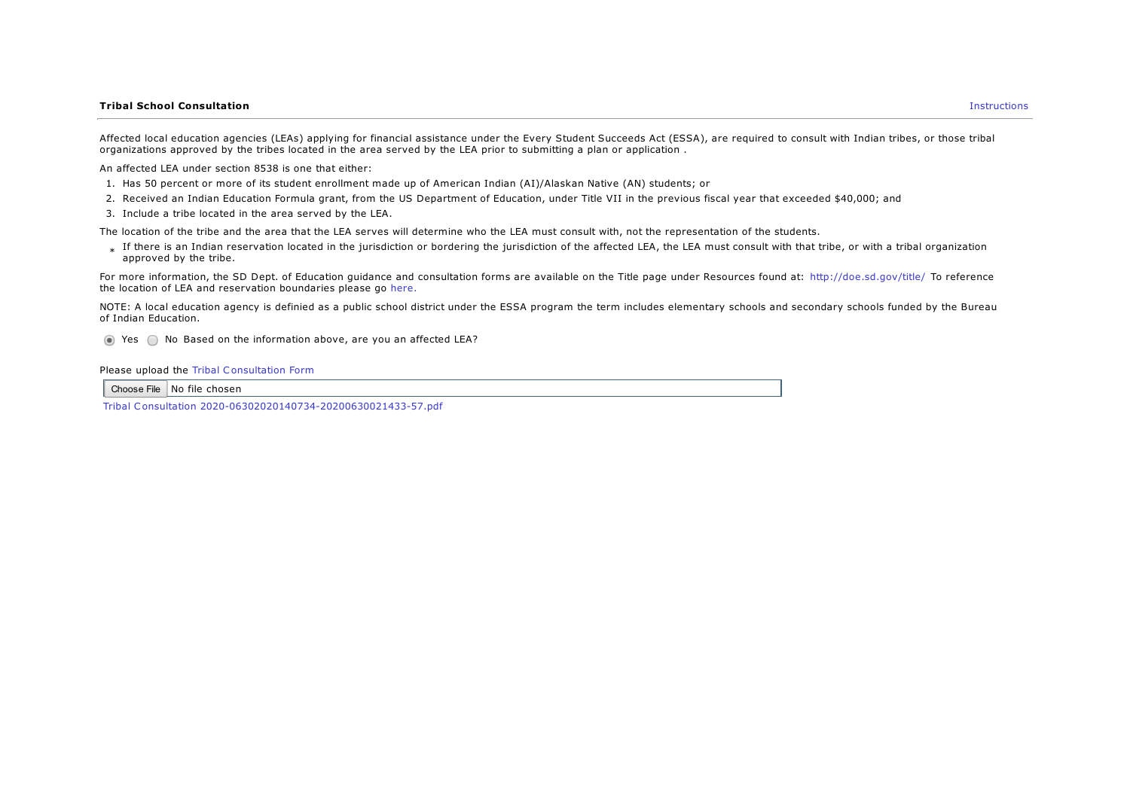#### **Tribal School Consultation** Instructions

Affected local education agencies (LEAs) applying for financial assistance under the Every Student Succeeds Act (ESSA), are required to consult with Indian tribes, or those tribal organizations approved by the tribes located in the area served by the LEA prior to submitting a plan or application .

An affected LEA under section 8538 is one that either:

- 1. Has 50 percent or more of its student enrollment made up of American Indian (AI)/Alaskan Native (AN) students; or
- 2. Received an Indian Education Formula grant, from the US Department of Education, under Title VII in the previous fiscal year that exceeded \$40,000; and
- 3. Include a tribe located in the area served by the LEA.

The location of the tribe and the area that the LEA serves will determine who the LEA must consult with, not the representation of the students.

\* If there is an Indian reservation located in the jurisdiction or bordering the jurisdiction of the affected LEA, the LEA must consult with that tribe, or with a tribal organization approved by the tribe.

For more information, the SD Dept. of Education quidance and consultation forms are available on the Title page under Resources found at: http://doe.sd.gov/title/ To reference the location of LEA and reservation boundaries please go here.

NOTE: A local education agency is definied as a public school district under the ESSA program the term includes elementary schools and secondary schools funded by the Bureau of Indian Education.

 $\bigcirc$  Yes  $\bigcirc$  No Based on the information above, are you an affected LEA?

Please upload the Tribal Consultation Form

Choose File No file chosen

Tribal Consultation [2020-06302020140734-20200630021433-57.pdf](https://sddoe.mtwgms.org/SDDOEGMSWeb/UploadFiles/2021/765/00/ConsolidatedApp//ConAppTribalConsultation/Tribal Consultation 2020-06302020140734-20200630021433-57.pdf)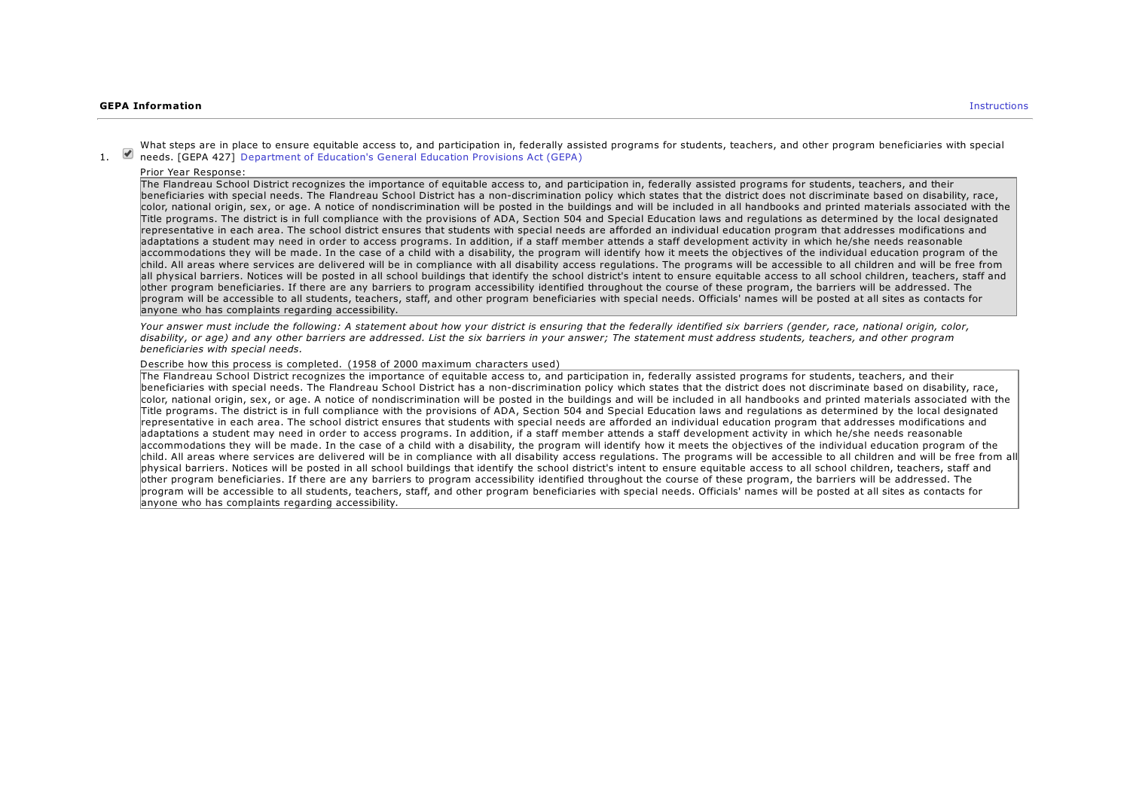#### **GEPA Information** Instructions **Instructions**

1. **Department of Education's General Education Provisions Act (GEPA)** What steps are in place to ensure equitable access to, and participation in, federally assisted programs for students, teachers, and other program beneficiaries with special

Prior Year Response:

The Flandreau School District recognizes the importance of equitable access to, and participation in, federally assisted programs for students, teachers, and their beneficiaries with special needs. The Flandreau School District has a non-discrimination policy which states that the district does not discriminate based on disability, race, color, national origin, sex, or age. A notice of nondiscrimination will be posted in the buildings and will be included in all handbooks and printed materials associated with the Title programs. The district is in full compliance with the provisions of ADA, Section 504 and Special Education laws and regulations as determined by the local designated representative in each area. The school district ensures that students with special needs are afforded an individual education program that addresses modifications and adaptations a student may need in order to access programs. In addition, if a staff member attends a staff development activity in which he/she needs reasonable accommodations they will be made. In the case of a child with a disability, the program will identify how it meets the objectives of the individual education program of the child. All areas where services are delivered will be in compliance with all disability access regulations. The programs will be accessible to all children and will be free from all physical barriers. Notices will be posted in all school buildings that identify the school district's intent to ensure equitable access to all school children, teachers, staff and other program beneficiaries. If there are any barriers to program accessibility identified throughout the course of these program, the barriers will be addressed. The program will be accessible to all students, teachers, staff, and other program beneficiaries with special needs. Officials' names will be posted at all sites as contacts for anyone who has complaints regarding accessibility.

Your answer must include the following: A statement about how your district is ensuring that the federally identified six barriers (gender, race, national origin, color, disability, or age) and any other barriers are addressed. List the six barriers in your answer; The statement must address students, teachers, and other program beneficiaries with special needs.

#### Describe how this process is completed. (1958 of 2000 maximum characters used)

The Flandreau School District recognizes the importance of equitable access to, and participation in, federally assisted programs for students, teachers, and their beneficiaries with special needs. The Flandreau School District has a non-discrimination policy which states that the district does not discriminate based on disability, race, color, national origin, sex, or age. A notice of nondiscrimination will be posted in the buildings and will be included in all handbooks and printed materials associated with the Title programs. The district is in full compliance with the provisions of ADA, Section 504 and Special Education laws and regulations as determined by the local designated representative in each area. The school district ensures that students with special needs are afforded an individual education program that addresses modifications and adaptations a student may need in order to access programs. In addition, if a staff member attends a staff development activity in which he/she needs reasonable accommodations they will be made. In the case of a child with a disability, the program will identify how it meets the objectives of the individual education program of the child. All areas where services are delivered will be in compliance with all disability access regulations. The programs will be accessible to all children and will be free from all physical barriers. Notices will be posted in all school buildings that identify the school district's intent to ensure equitable access to all school children, teachers, staff and other program beneficiaries. If there are any barriers to program accessibility identified throughout the course of these program, the barriers will be addressed. The program will be accessible to all students, teachers, staff, and other program beneficiaries with special needs. Officials' names will be posted at all sites as contacts for anyone who has complaints regarding accessibility.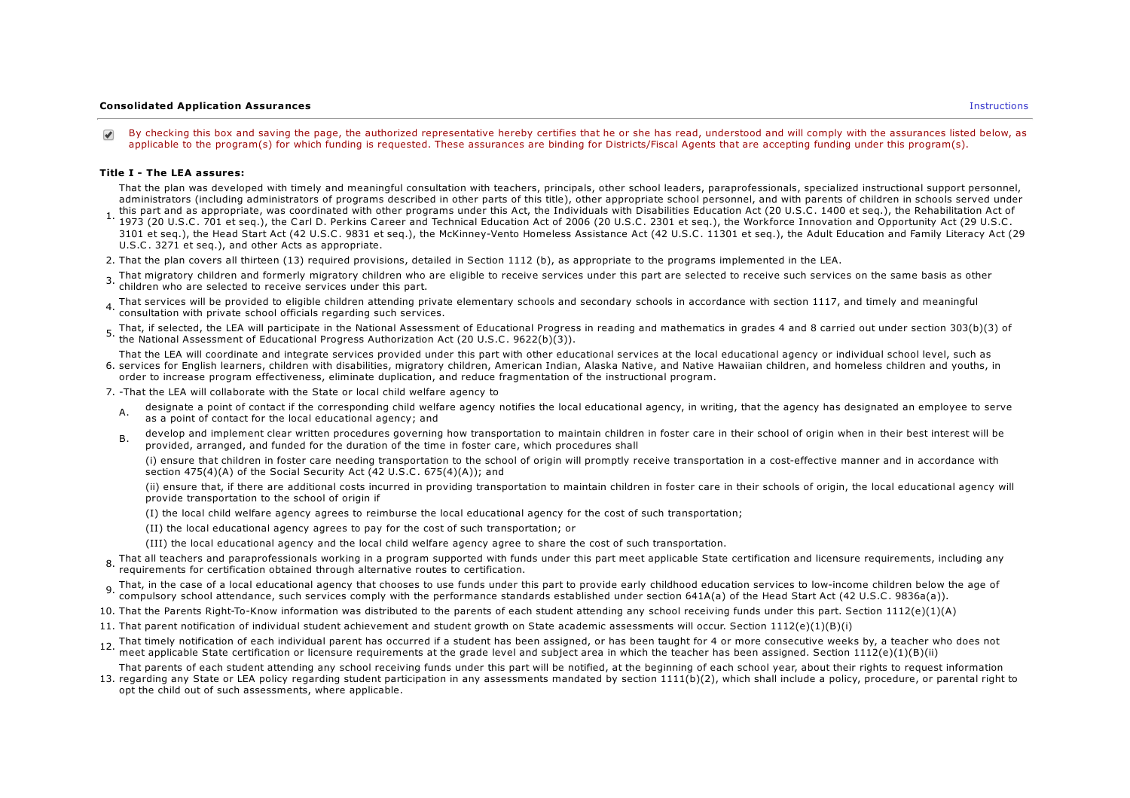#### Consolidated Application Assurances Instructions

By checking this box and saving the page, the authorized representative hereby certifies that he or she has read, understood and will comply with the assurances listed below, as applicable to the program(s) for which funding is requested. These assurances are binding for Districts/Fiscal Agents that are accepting funding under this program(s).

#### Title I - The LEA assures:

That the plan was developed with timely and meaningful consultation with teachers, principals, other school leaders, paraprofessionals, specialized instructional support personnel, administrators (including administrators of programs described in other parts of this title), other appropriate school personnel, and with parents of children in schools served under

- this part and as appropriate, was coordinated with other programs under this Act, the Individuals with Disabilities Education Act (20 U.S.C. 1400 et seq.), the Rehabilitation Act of the Night Act of the Night Act of the N 1973 (20 U.S.C. 701 et seq.), the Carl D. Perkins Career and Technical Education Act of 2006 (20 U.S.C. 2301 et seq.), the Workforce Innovation and Opportunity Act (29 U.S.C. 3101 et seq.), the Head Start Act (42 U.S.C. 9831 et seq.), the McKinney-Vento Homeless Assistance Act (42 U.S.C. 11301 et seq.), the Adult Education and Family Literacy Act (29 U.S.C. 3271 et seq.), and other Acts as appropriate.
- 2. That the plan covers all thirteen (13) required provisions, detailed in Section 1112 (b), as appropriate to the programs implemented in the LEA.
- 3. That migratory children and formerly migratory children who are eligible to receive services under this part are selected to receive such services on the same basis as other children who are selected to receive services under this part.
- 4. That services will be provided to eligible children attending private elementary schools and secondary schools in accordance with section 1117, and timely and meaningful<br>1. executation with arivate ashed afficials regar consultation with private school officials regarding such services.
- 5. That, if selected, the LEA will participate in the National Assessment of Educational Progress in reading and mathematics in grades 4 and 8 carried out under section 303(b)(3) of<br>5. the National Assessment of Educationa the National Assessment of Educational Progress Authorization Act (20 U.S.C. 9622(b)(3)).

6. services for English learners, children with disabilities, migratory children, American Indian, Alaska Native, and Native Hawaiian children, and homeless children and youths, in That the LEA will coordinate and integrate services provided under this part with other educational services at the local educational agency or individual school level, such as order to increase program effectiveness, eliminate duplication, and reduce fragmentation of the instructional program.

7. -That the LEA will collaborate with the State or local child welfare agency to

- A. designate a point of contact if the corresponding child welfare agency notifies the local educational agency, in writing, that the agency has designated an employee to serve as a point of contact for the local educational agency; and
- B. develop and implement clear written procedures governing how transportation to maintain children in foster care in their school of origin when in their best interest will be provided, arranged, and funded for the duration of the time in foster care, which procedures shall

(i) ensure that children in foster care needing transportation to the school of origin will promptly receive transportation in a cost-effective manner and in accordance with section  $475(4)(A)$  of the Social Security Act (42 U.S.C.  $675(4)(A)$ ); and

(ii) ensure that, if there are additional costs incurred in providing transportation to maintain children in foster care in their schools of origin, the local educational agency will provide transportation to the school of origin if

- (I) the local child welfare agency agrees to reimburse the local educational agency for the cost of such transportation;
- (II) the local educational agency agrees to pay for the cost of such transportation; or
- (III) the local educational agency and the local child welfare agency agree to share the cost of such transportation.
- 8. That all teachers and paraprofessionals working in a program supported with funds under this part meet applicable State certification and licensure requirements, including any intervals and any the metal of the state of requirements for certification obtained through alternative routes to certification.
- That, in the case of a local educational agency that chooses to use funds under this part to provide early childhood education services to low-income children below the age of  $\frac{1}{2}$ . compulsory school attendance, such services comply with the performance standards established under section 641A(a) of the Head Start Act (42 U.S.C. 9836a(a)).
- 10. That the Parents Right-To-Know information was distributed to the parents of each student attending any school receiving funds under this part. Section 1112(e)(1)(A)
- 11. That parent notification of individual student achievement and student growth on State academic assessments will occur. Section 1112(e)(1)(B)(i)
- 12. That timely notification of each individual parent has occurred if a student has been assigned, or has been taught for 4 or more consecutive weeks by, a teacher who does not
- meet applicable State certification or licensure requirements at the grade level and subject area in which the teacher has been assigned. Section  $1112(e)(1)(B(ii)$

That parents of each student attending any school receiving funds under this part will be notified, at the beginning of each school year, about their rights to request information

13. regarding any State or LEA policy regarding student participation in any assessments mandated by section 1111(b)(2), which shall include a policy, procedure, or parental right to opt the child out of such assessments, where applicable.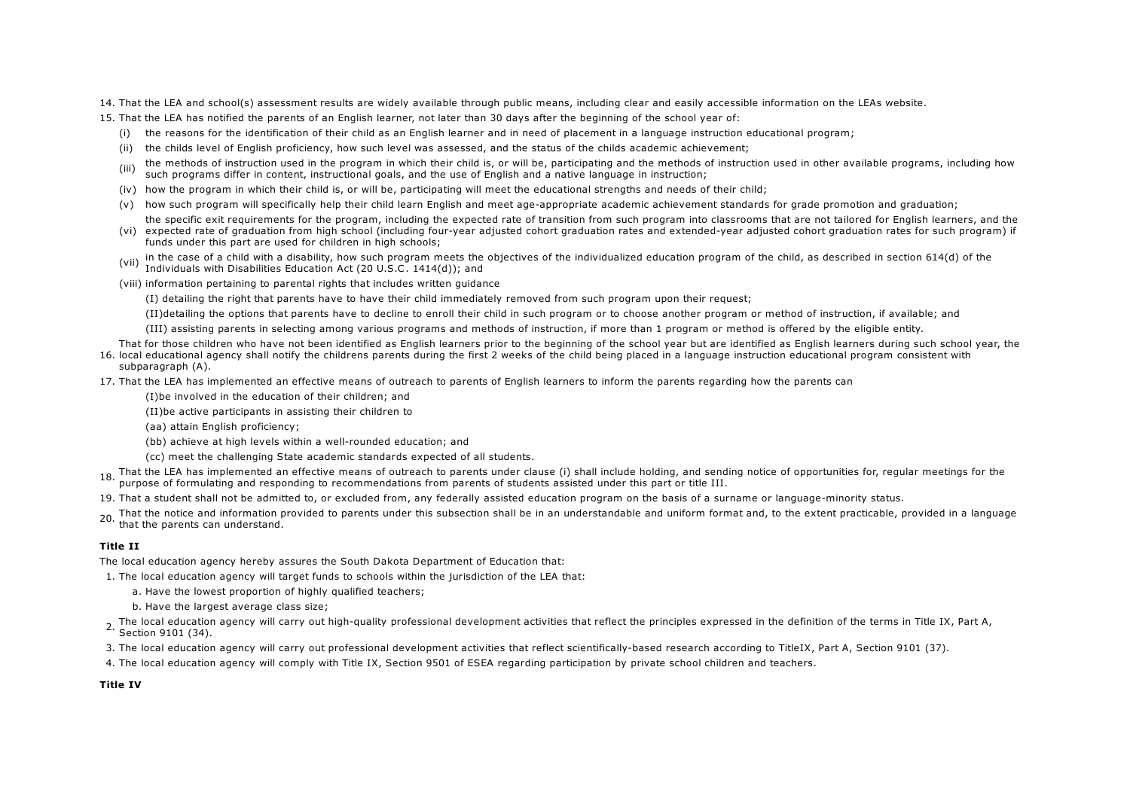- 14. That the LEA and school(s) assessment results are widely available through public means, including clear and easily accessible information on the LEAs website.
- 15. That the LEA has notified the parents of an English learner, not later than 30 days after the beginning of the school year of:
	- (i) the reasons for the identification of their child as an English learner and in need of placement in a language instruction educational program;
	- (ii) the childs level of English proficiency, how such level was assessed, and the status of the childs academic achievement;
	- (iii) the methods of instruction used in the program in which their child is, or will be, participating and the methods of instruction used in other available programs, including how such programs differ in content, instructional goals, and the use of English and a native language in instruction;
	- (iv) how the program in which their child is, or will be, participating will meet the educational strengths and needs of their child;
	- (v) how such program will specifically help their child learn English and meet age-appropriate academic achievement standards for grade promotion and graduation;
	- (vi) expected rate of graduation from high school (including four-year adjusted cohort graduation rates and extended-year adjusted cohort graduation rates for such program) if the specific exit requirements for the program, including the expected rate of transition from such program into classrooms that are not tailored for English learners, and the
	- funds under this part are used for children in high schools;
	- (vii) in the case of a child with a disability, how such program meets the objectives of the individualized education program of the child, as described in section 614(d) of the Individuals with Disabilities Education Act (20 U.S.C. 1414(d)); and
	- (viii) information pertaining to parental rights that includes written guidance

(I) detailing the right that parents have to have their child immediately removed from such program upon their request;

- (II)detailing the options that parents have to decline to enroll their child in such program or to choose another program or method of instruction, if available; and
- (III) assisting parents in selecting among various programs and methods of instruction, if more than 1 program or method is offered by the eligible entity.
- 16. local educational agency shall notify the childrens parents during the first 2 weeks of the child being placed in a language instruction educational program consistent with That for those children who have not been identified as English learners prior to the beginning of the school year but are identified as English learners during such school year, the subparagraph (A).
- 17. That the LEA has implemented an effective means of outreach to parents of English learners to inform the parents regarding how the parents can
	- (I)be involved in the education of their children; and
		- (II)be active participants in assisting their children to
		- (aa) attain English proficiency;
		- (bb) achieve at high levels within a well-rounded education; and
		- (cc) meet the challenging State academic standards expected of all students.
- 18. That the LEA has implemented an effective means of outreach to parents under clause (i) shall include holding, and sending notice of opportunities for, regular meetings for the<br>18. www.co. of fame that are almost the c purpose of formulating and responding to recommendations from parents of students assisted under this part or title III.
- 19. That a student shall not be admitted to, or excluded from, any federally assisted education program on the basis of a surname or language-minority status.
- 20. That the notice and information provided to parents under this subsection shall be in an understandable and uniform format and, to the extent practicable, provided in a language in a language that the parents can understand.

#### Title II

The local education agency hereby assures the South Dakota Department of Education that:

1. The local education agency will target funds to schools within the jurisdiction of the LEA that:

- a. Have the lowest proportion of highly qualified teachers;
- b. Have the largest average class size;
- 2. The local education agency will carry out high-quality professional development activities that reflect the principles expressed in the definition of the terms in Title IX, Part A, Part A, Section 9101 (34).
- 3. The local education agency will carry out professional development activities that reflect scientifically-based research according to TitleIX, Part A, Section 9101 (37).
- 4. The local education agency will comply with Title IX, Section 9501 of ESEA regarding participation by private school children and teachers.

### Title IV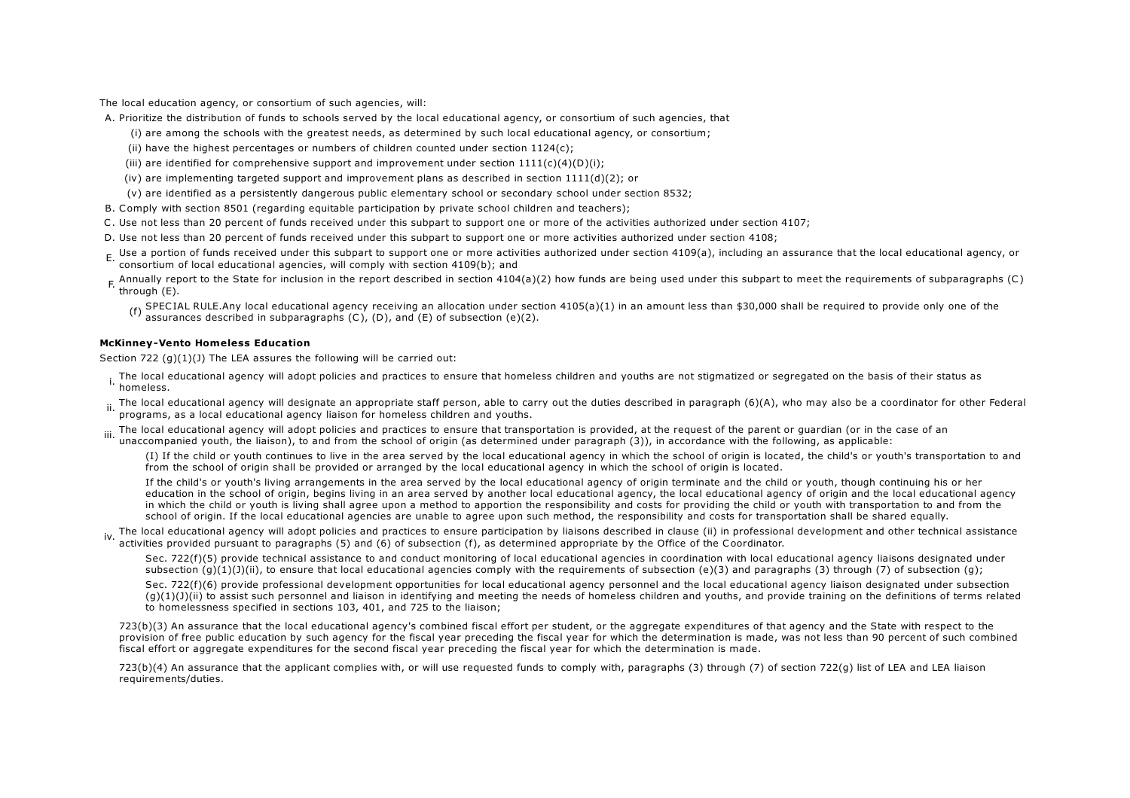The local education agency, or consortium of such agencies, will:

A. Prioritize the distribution of funds to schools served by the local educational agency, or consortium of such agencies, that

(i) are among the schools with the greatest needs, as determined by such local educational agency, or consortium;

(ii) have the highest percentages or numbers of children counted under section 1124(c);

(iii) are identified for comprehensive support and improvement under section  $1111(c)(4)(D)(i)$ ;

(iv) are implementing targeted support and improvement plans as described in section 1111(d)(2); or

(v) are identified as a persistently dangerous public elementary school or secondary school under section 8532;

B. Comply with section 8501 (regarding equitable participation by private school children and teachers);

C. Use not less than 20 percent of funds received under this subpart to support one or more of the activities authorized under section 4107;

D. Use not less than 20 percent of funds received under this subpart to support one or more activities authorized under section 4108;

E. Use a portion of funds received under this subpart to support one or more activities authorized under section 4109(a), including an assurance that the local educational agency, or<br>Expressions of lead advertised agencies consortium of local educational agencies, will comply with section 4109(b); and

F. Annually report to the State for inclusion in the report described in section 4104(a)(2) how funds are being used under this subpart to meet the requirements of subparagraphs (C) (5) through (E).

(f) SPECIAL RULE.Any local educational agency receiving an allocation under section 4105(a)(1) in an amount less than \$30,000 shall be required to provide only one of the  $(6)$  (D) and  $(5)$  and  $(6)$  and  $(7)$  and  $(8)$  assurances described in subparagraphs  $(C)$ ,  $(D)$ , and  $(E)$  of subsection  $(e)(2)$ .

#### McKinney-Vento Homeless Education

Section 722  $(g)(1)(J)$  The LEA assures the following will be carried out:

. The local educational agency will adopt policies and practices to ensure that homeless children and youths are not stigmatized or segregated on the basis of their status as<br>In hamalase homeless.

... The local educational agency will designate an appropriate staff person, able to carry out the duties described in paragraph (6)(A), who may also be a coordinator for other Federal in the state of the state of the stat programs, as a local educational agency liaison for homeless children and youths.

iii. The local educational agency will adopt policies and practices to ensure that transportation is provided, at the request of the parent or guardian (or in the case of an iii). The local educational agency will adopt po unaccompanied youth, the liaison), to and from the school of origin (as determined under paragraph (3)), in accordance with the following, as applicable:

(I) If the child or youth continues to live in the area served by the local educational agency in which the school of origin is located, the child's or youth's transportation to and from the school of origin shall be provided or arranged by the local educational agency in which the school of origin is located.

If the child's or youth's living arrangements in the area served by the local educational agency of origin terminate and the child or youth, though continuing his or her education in the school of origin, begins living in an area served by another local educational agency, the local educational agency of origin and the local educational agency in which the child or youth is living shall agree upon a method to apportion the responsibility and costs for providing the child or youth with transportation to and from the school of origin. If the local educational agencies are unable to agree upon such method, the responsibility and costs for transportation shall be shared equally.

The local educational agency will adopt policies and practices to ensure participation by liaisons described in clause (ii) in professional development and other technical assistance (ii) in experiment and other technical activities provided pursuant to paragraphs (5) and (6) of subsection (f), as determined appropriate by the Office of the Coordinator.

Sec. 722(f)(5) provide technical assistance to and conduct monitoring of local educational agencies in coordination with local educational agency liaisons designated under subsection  $(q)(1)(J)(ii)$ , to ensure that local educational agencies comply with the requirements of subsection  $(e)(3)$  and paragraphs (3) through (7) of subsection (g);

Sec. 722(f)(6) provide professional development opportunities for local educational agency personnel and the local educational agency liaison designated under subsection  $(q)(1)(j)(ii)$  to assist such personnel and liaison in identifying and meeting the needs of homeless children and youths, and provide training on the definitions of terms related to homelessness specified in sections 103, 401, and 725 to the liaison;

723(b)(3) An assurance that the local educational agency's combined fiscal effort per student, or the aggregate expenditures of that agency and the State with respect to the provision of free public education by such agency for the fiscal year preceding the fiscal year for which the determination is made, was not less than 90 percent of such combined fiscal effort or aggregate expenditures for the second fiscal year preceding the fiscal year for which the determination is made.

723(b)(4) An assurance that the applicant complies with, or will use requested funds to comply with, paragraphs (3) through (7) of section 722(g) list of LEA and LEA liaison requirements/duties.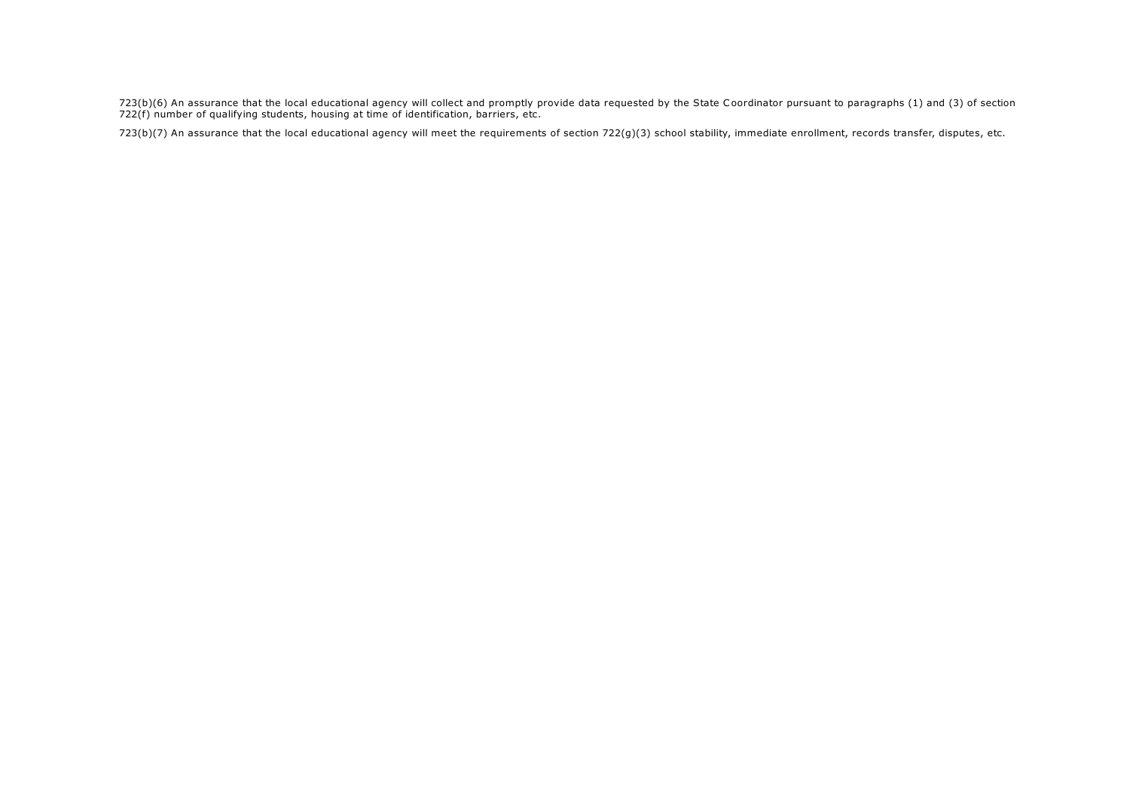723(b)(6) An assurance that the local educational agency will collect and promptly provide data requested by the State Coordinator pursuant to paragraphs (1) and (3) of section 722(f) number of qualifying students, housing at time of identification, barriers, etc.

723(b)(7) An assurance that the local educational agency will meet the requirements of section 722(g)(3) school stability, immediate enrollment, records transfer, disputes, etc.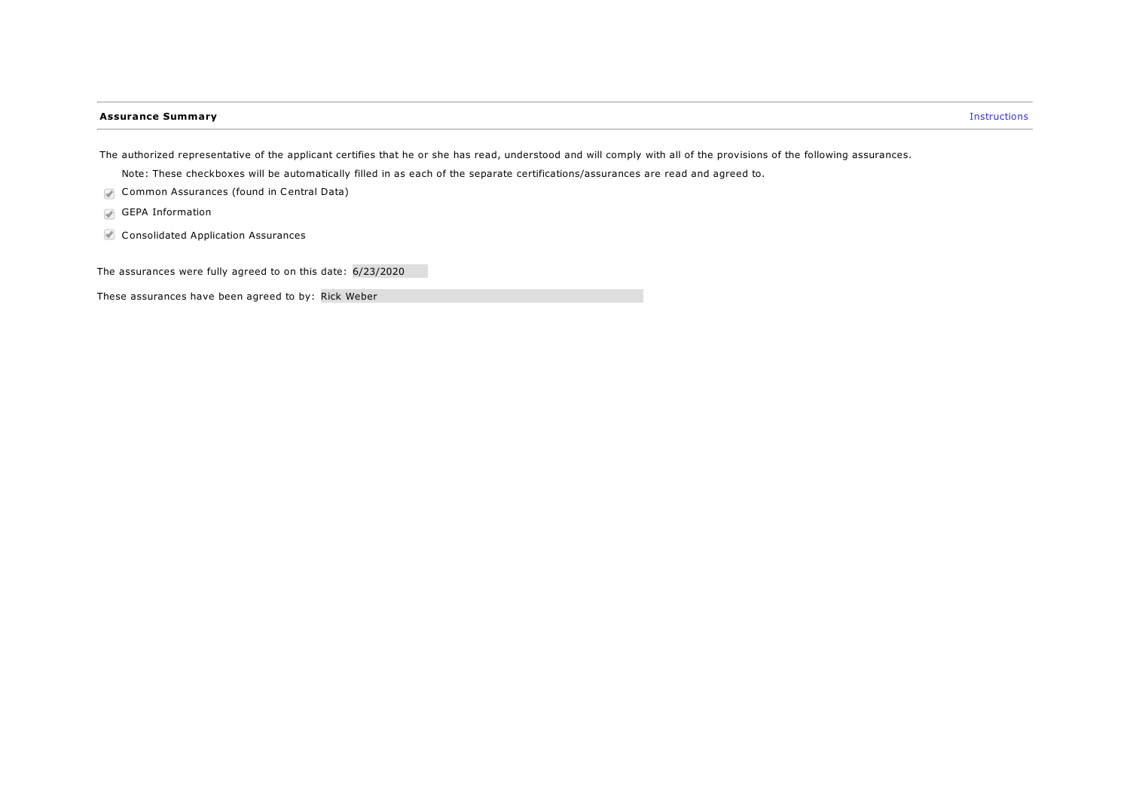### **Assurance Summary Instructions**

The authorized representative of the applicant certifies that he or she has read, understood and will comply with all of the provisions of the following assurances.

Note: These checkboxes will be automatically filled in as each of the separate certifications/assurances are read and agreed to.

- Common Assurances (found in Central Data)
- GEPA Information
- Consolidated Application Assurances

The assurances were fully agreed to on this date: 6/23/2020

These assurances have been agreed to by: Rick Weber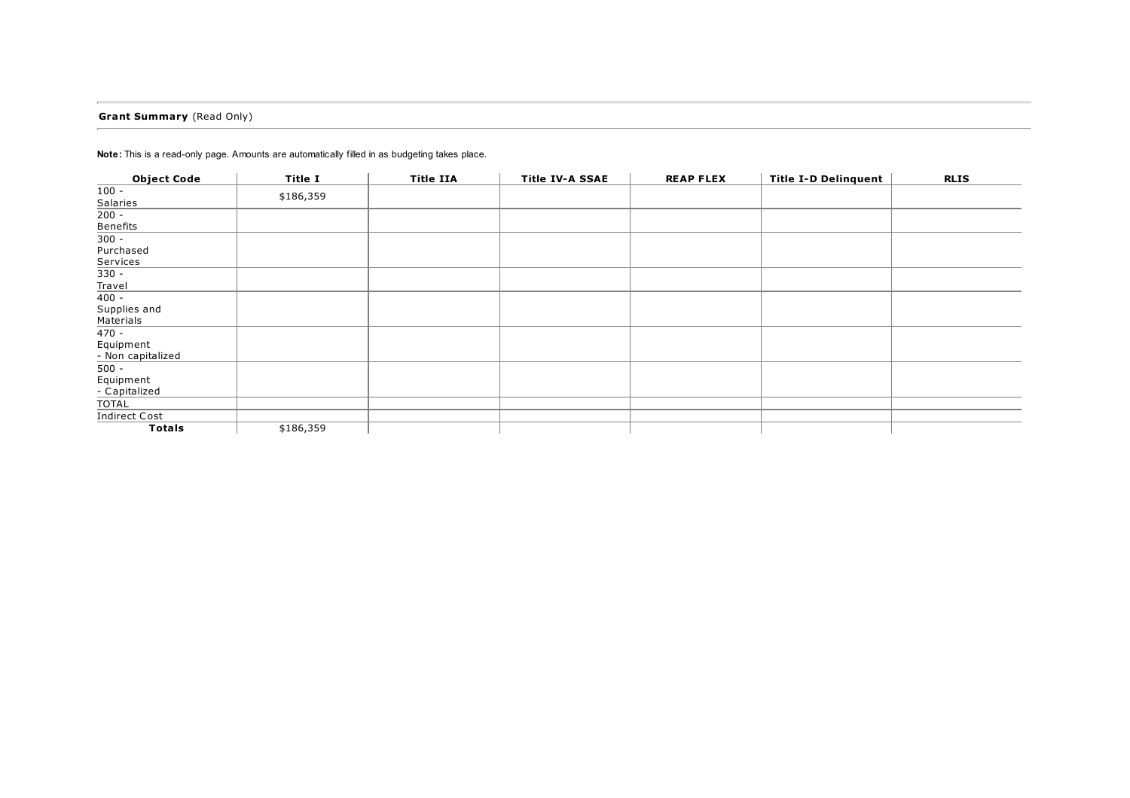## Grant Summary (Read Only)

| <b>Object Code</b>             | Title I   | <b>Title IIA</b> | <b>Title IV-A SSAE</b> | <b>REAP FLEX</b> | <b>Title I-D Delinquent</b> | <b>RLIS</b> |
|--------------------------------|-----------|------------------|------------------------|------------------|-----------------------------|-------------|
| $100 -$<br>Salaries            | \$186,359 |                  |                        |                  |                             |             |
| $200 -$                        |           |                  |                        |                  |                             |             |
| <b>Benefits</b>                |           |                  |                        |                  |                             |             |
| $300 -$                        |           |                  |                        |                  |                             |             |
| Purchased                      |           |                  |                        |                  |                             |             |
| Services                       |           |                  |                        |                  |                             |             |
| $330 -$                        |           |                  |                        |                  |                             |             |
| Travel                         |           |                  |                        |                  |                             |             |
| $400 -$                        |           |                  |                        |                  |                             |             |
| Supplies and                   |           |                  |                        |                  |                             |             |
| Materials                      |           |                  |                        |                  |                             |             |
| $470 -$                        |           |                  |                        |                  |                             |             |
| Equipment<br>- Non capitalized |           |                  |                        |                  |                             |             |
| $500 -$                        |           |                  |                        |                  |                             |             |
| Equipment                      |           |                  |                        |                  |                             |             |
| - Capitalized                  |           |                  |                        |                  |                             |             |
| TOTAL                          |           |                  |                        |                  |                             |             |
| <b>Indirect Cost</b>           |           |                  |                        |                  |                             |             |
| <b>Totals</b>                  | \$186,359 |                  |                        |                  |                             |             |

Note: This is a read-only page. Amounts are automatically filled in as budgeting takes place.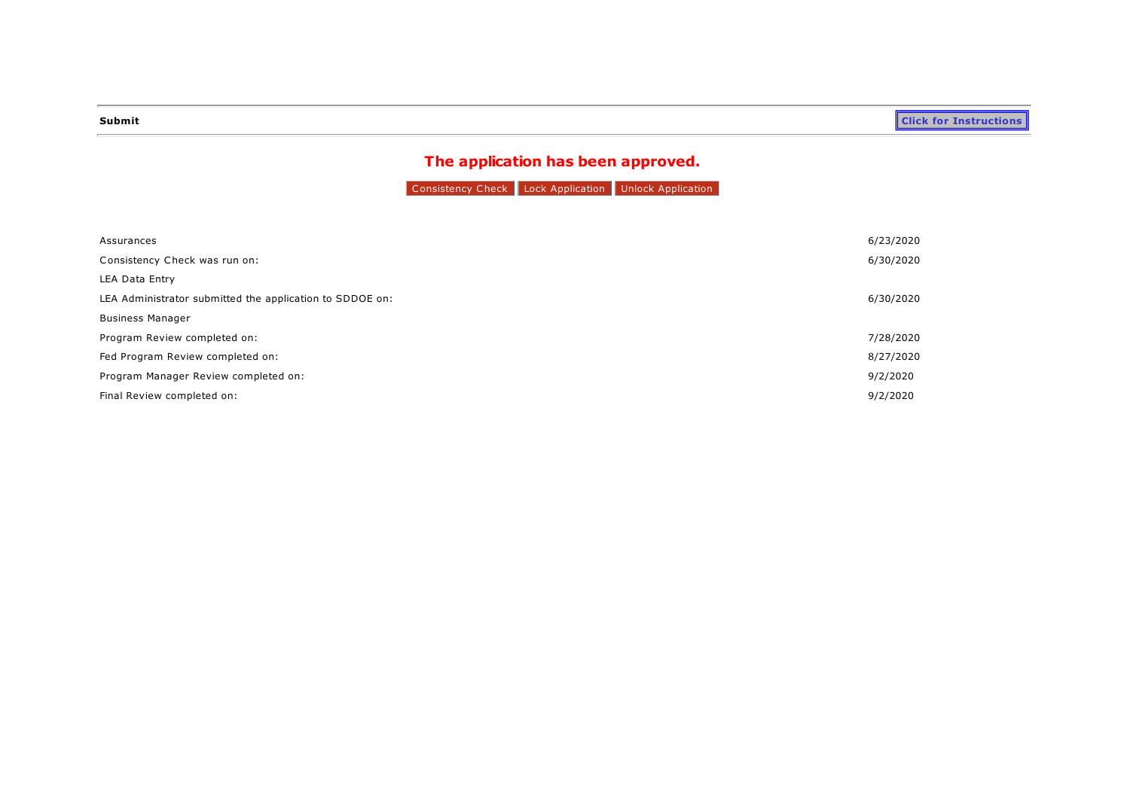# The application has been approved.

Consistency Check Lock Application Unlock Application

| Assurances                                               | 6/23/2020 |
|----------------------------------------------------------|-----------|
| Consistency Check was run on:                            | 6/30/2020 |
| LEA Data Entry                                           |           |
| LEA Administrator submitted the application to SDDOE on: | 6/30/2020 |
| <b>Business Manager</b>                                  |           |
| Program Review completed on:                             | 7/28/2020 |
| Fed Program Review completed on:                         | 8/27/2020 |
| Program Manager Review completed on:                     | 9/2/2020  |
| Final Review completed on:                               | 9/2/2020  |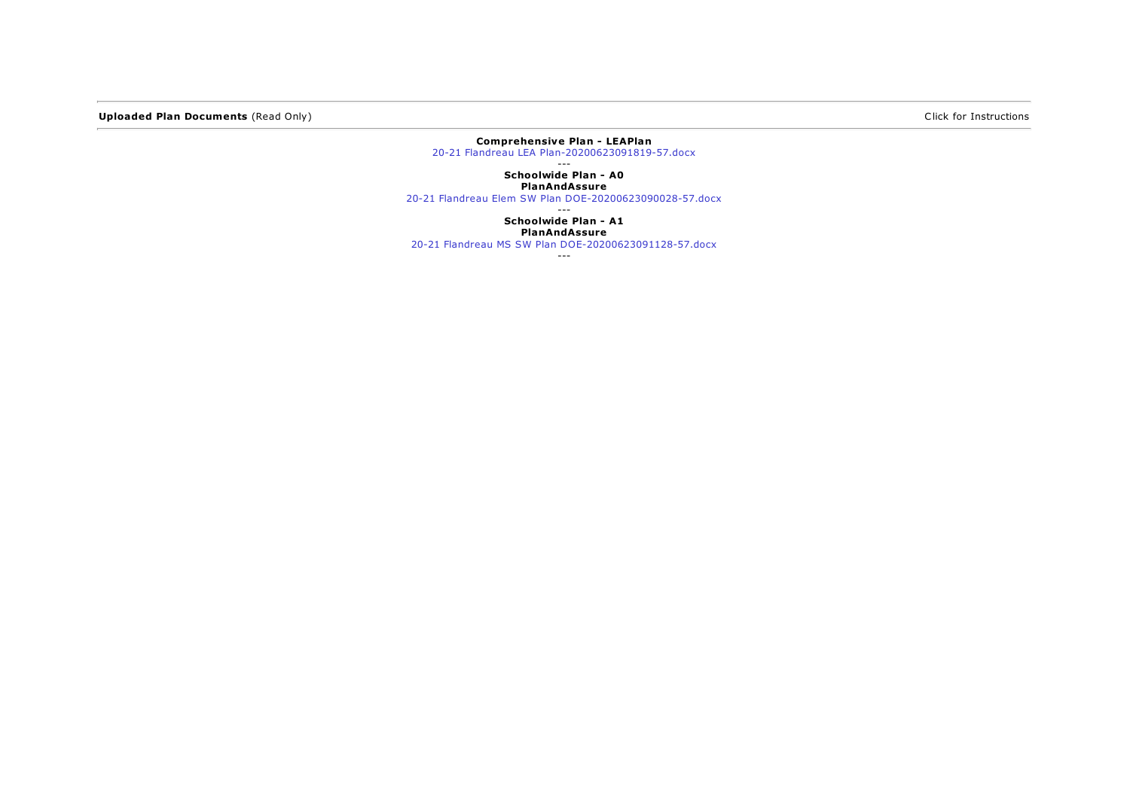Uploaded Plan Documents (Read Only) and Click for Instructions and Click for Instructions of Click for Instructions

#### Comprehensive Plan - LEAPlan 20-21 Flandreau LEA [Plan-20200623091819-57.docx](https://sddoe.mtwgms.org/SDDOEGMSWeb/UploadFiles/2021/765/ComprehensivePlan/LEAPlan/20-21 Flandreau LEA Plan-20200623091819-57.docx)

---

Schoolwide Plan - A0 PlanAndAssure

20-21 Flandreau Elem SW Plan [DOE-20200623090028-57.docx](https://sddoe.mtwgms.org/SDDOEGMSWeb/UploadFiles/2021/765/SchoolwidePgm/A0/PlanAndAssure/20-21 Flandreau Elem SW Plan DOE-20200623090028-57.docx)

--- Schoolwide Plan - A1 PlanAndAssure

20-21 Flandreau MS SW Plan [DOE-20200623091128-57.docx](https://sddoe.mtwgms.org/SDDOEGMSWeb/UploadFiles/2021/765/SchoolwidePgm/A1/PlanAndAssure/20-21 Flandreau MS SW Plan DOE-20200623091128-57.docx)

---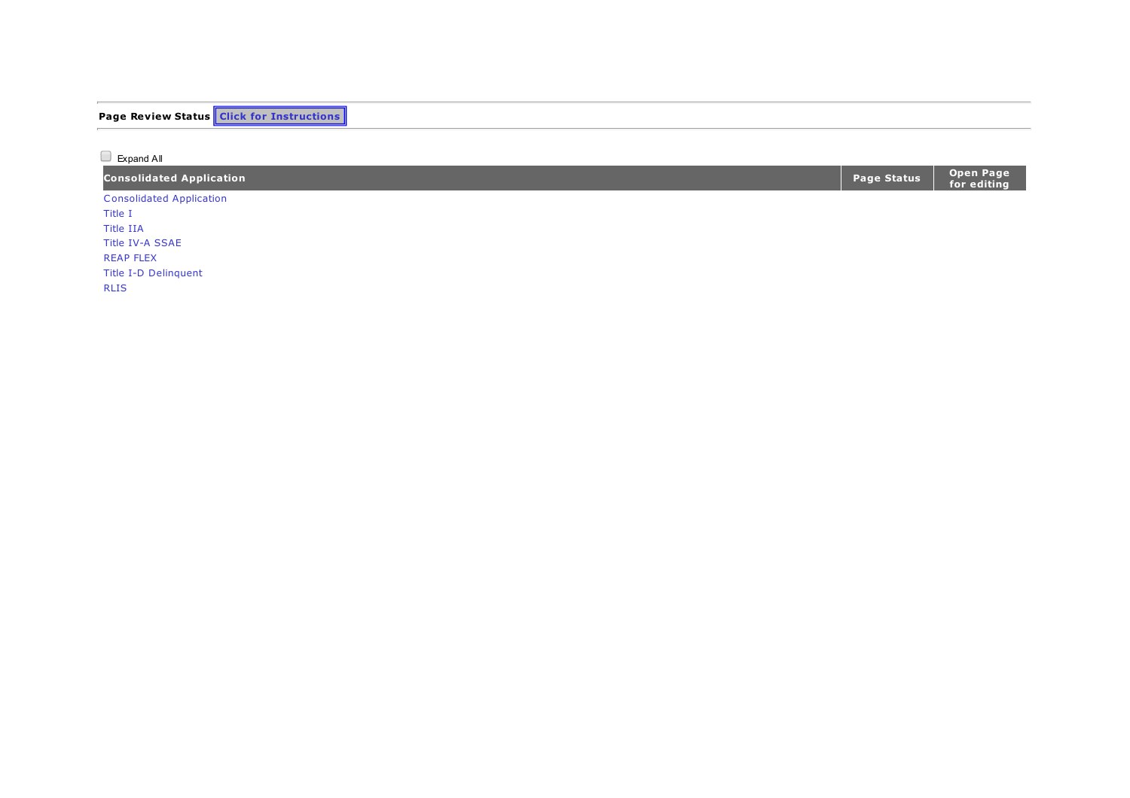| <b>Page Review Status Click for Instructions</b> |  |  |
|--------------------------------------------------|--|--|
|                                                  |  |  |
| Expand All                                       |  |  |

| <b>Consolidated Application</b> | Page Status $\ $ | Open Page<br>  for editing |
|---------------------------------|------------------|----------------------------|
| <b>Consolidated Application</b> |                  |                            |
| Title 1                         |                  |                            |

[Title](#page-0-0) I I A [Title](#page-0-0) IV-A SSAE [R](#page-0-0)EAP FLEX [Title](#page-0-0) I-D Delinquent

[R](#page-0-0) L I S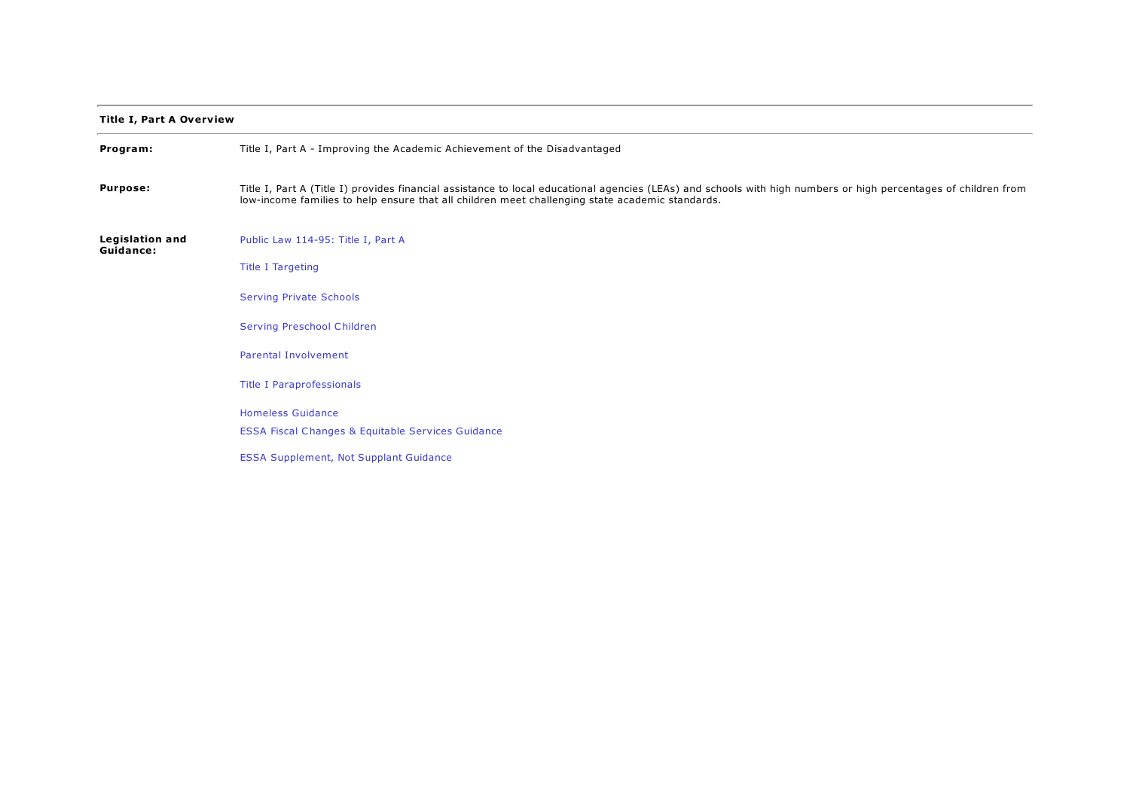## Title I, Part A Overview

| Program:                            | Title I, Part A - Improving the Academic Achievement of the Disadvantaged                                                                                                                                                                                          |
|-------------------------------------|--------------------------------------------------------------------------------------------------------------------------------------------------------------------------------------------------------------------------------------------------------------------|
| <b>Purpose:</b>                     | Title I, Part A (Title I) provides financial assistance to local educational agencies (LEAs) and schools with high numbers or high percentages of children from<br>low-income families to help ensure that all children meet challenging state academic standards. |
| <b>Legislation and</b><br>Guidance: | Public Law 114-95: Title I, Part A                                                                                                                                                                                                                                 |
|                                     | <b>Title I Targeting</b>                                                                                                                                                                                                                                           |
|                                     | <b>Serving Private Schools</b>                                                                                                                                                                                                                                     |
|                                     | <b>Serving Preschool Children</b>                                                                                                                                                                                                                                  |
|                                     | <b>Parental Involvement</b>                                                                                                                                                                                                                                        |
|                                     | <b>Title I Paraprofessionals</b>                                                                                                                                                                                                                                   |
|                                     | <b>Homeless Guidance</b>                                                                                                                                                                                                                                           |
|                                     | <b>ESSA Fiscal Changes &amp; Equitable Services Guidance</b>                                                                                                                                                                                                       |
|                                     | <b>ESSA Supplement, Not Supplant Guidance</b>                                                                                                                                                                                                                      |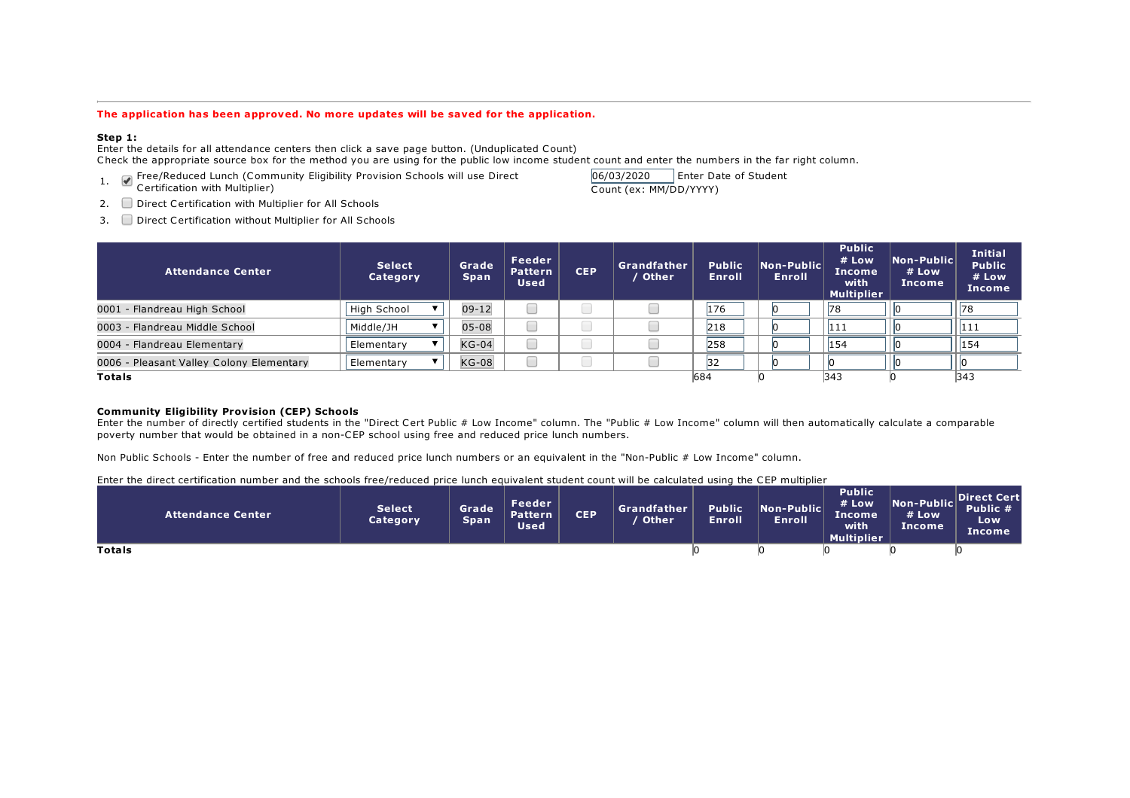#### The application has been approved. No more updates will be saved for the application.

#### Step 1:

Enter the details for all attendance centers then click a save page button. (Unduplicated Count) Check the appropriate source box for the method you are using for the public low income student count and enter the numbers in the far right column.

- 1. Free/Reduced Lunch (Community Eligibility Provision Schools will use Direct
- Certification with Multiplier)

06/03/2020 Enter Date of Student Count (ex: MM/DD/YYYY)

- 2. Direct Certification with Multiplier for All Schools
- 3. Direct Certification without Multiplier for All Schools

| <b>Attendance Center</b>                 | <b>Select</b><br>Category | Grade<br><b>Span</b> | Feeder<br>Pattern<br><b>Used</b> | <b>CEP</b> | Grandfather<br>Other | <b>Public</b><br><b>Enroll</b> | Non-Public<br>Enroll | <b>Public</b><br># Low<br><b>Income</b><br>with<br><b>Multiplier</b> | $\overline{\mathsf{Non-Public}}$<br># Low<br>Income | <b>Initial</b><br><b>Public</b><br># Low<br>Income |
|------------------------------------------|---------------------------|----------------------|----------------------------------|------------|----------------------|--------------------------------|----------------------|----------------------------------------------------------------------|-----------------------------------------------------|----------------------------------------------------|
| 0001 - Flandreau High School             | High School               | $09 - 12$            |                                  |            |                      | 176                            |                      | 78                                                                   |                                                     | 78                                                 |
| 0003 - Flandreau Middle School           | Middle/JH                 | $05 - 08$            |                                  |            |                      | 218                            |                      | 111                                                                  |                                                     | 111                                                |
| 0004 - Flandreau Elementary              | Elementary                | $KG-04$              |                                  |            |                      | 258                            |                      | 154                                                                  |                                                     | 154                                                |
| 0006 - Pleasant Valley Colony Elementary | Elementary                | $KG-08$              |                                  |            |                      | 32                             |                      |                                                                      |                                                     |                                                    |
| <b>Totals</b>                            |                           |                      |                                  |            |                      | 684                            |                      | 343                                                                  |                                                     | 343                                                |

#### Community Eligibility Provision (CEP) Schools

Enter the number of directly certified students in the "Direct Cert Public # Low Income" column. The "Public # Low Income" column will then automatically calculate a comparable poverty number that would be obtained in a non-CEP school using free and reduced price lunch numbers.

Non Public Schools - Enter the number of free and reduced price lunch numbers or an equivalent in the "Non-Public # Low Income" column.

| Enter the direct certification number and the schools free/reduced price lunch equivalent student count will be calculated using the CEP multiplier |                           |                      |                                         |            |                      |                         |                             |                                                                 |                               |                                          |
|-----------------------------------------------------------------------------------------------------------------------------------------------------|---------------------------|----------------------|-----------------------------------------|------------|----------------------|-------------------------|-----------------------------|-----------------------------------------------------------------|-------------------------------|------------------------------------------|
| Attendance Center                                                                                                                                   | <b>Select</b><br>Category | Grade<br><b>Span</b> | Feeder<br><b>Pattern</b><br><b>Used</b> | <b>CEP</b> | Grandfather<br>Other | <b>Public</b><br>Enroll | Non-Public<br><b>Enroll</b> | <b>Public</b><br># Low<br>'Income.<br>with<br><b>Multiplier</b> | Non-Public<br># Low<br>Income | Direct Cert<br>Public #<br>Low<br>Income |
| <b>Totals</b>                                                                                                                                       |                           |                      |                                         |            |                      |                         |                             |                                                                 |                               |                                          |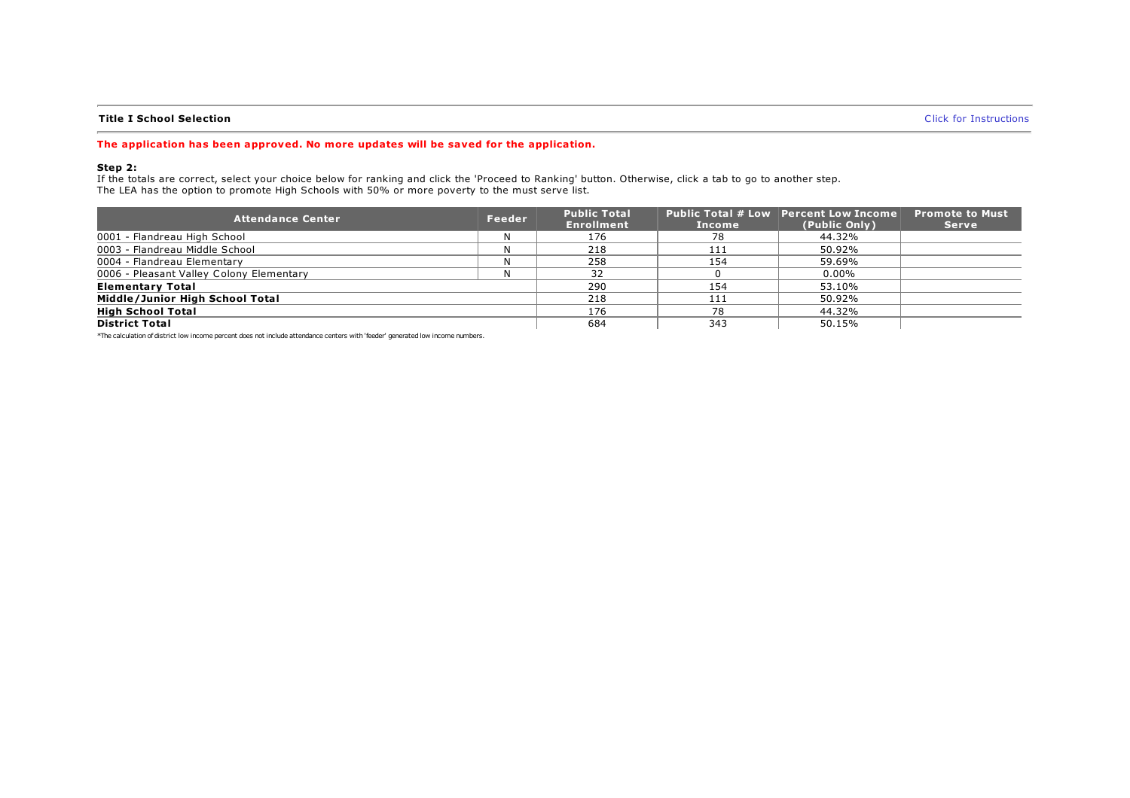### **Title I School Selection** Click for [Instructions](https://sddoe.mtwgms.org/SDDOEGMSWeb/PageRefDocs/Title I School Selection Step 2.pdf) (Click for Instructions of the I School Selection of the I School Selection of the I School Selection of the I School Selection of the I School Selection of the I School Se

#### The application has been approved. No more updates will be saved for the application.

#### Step 2:

If the totals are correct, select your choice below for ranking and click the 'Proceed to Ranking' button. Otherwise, click a tab to go to another step. The LEA has the option to promote High Schools with 50% or more poverty to the must serve list.

| <b>Attendance Center</b>                 | Feeder | <b>Public Total</b><br><b>Enrollment</b> | Income | <b>Public Total # Low Percent Low Income</b><br>(Public Only) | <b>Promote to Must</b><br><b>Serve</b> |
|------------------------------------------|--------|------------------------------------------|--------|---------------------------------------------------------------|----------------------------------------|
| 0001 - Flandreau High School             | Ν      | 176                                      | 78     | 44.32%                                                        |                                        |
| 0003 - Flandreau Middle School           | Ν      | 218                                      | 111    | 50.92%                                                        |                                        |
| 0004 - Flandreau Elementary              | Ν      | 258                                      | 154    | 59.69%                                                        |                                        |
| 0006 - Pleasant Valley Colony Elementary | N      | 32                                       |        | $0.00\%$                                                      |                                        |
| <b>Elementary Total</b>                  |        | 290                                      | 154    | 53.10%                                                        |                                        |
| Middle/Junior High School Total          |        | 218                                      | 111    | 50.92%                                                        |                                        |
| <b>High School Total</b>                 |        | 176                                      | 78     | 44.32%                                                        |                                        |
| <b>District Total</b>                    |        | 684                                      | 343    | 50.15%                                                        |                                        |

\*The calculation of district low income percent does not include attendance centers with 'feeder' generated low income numbers.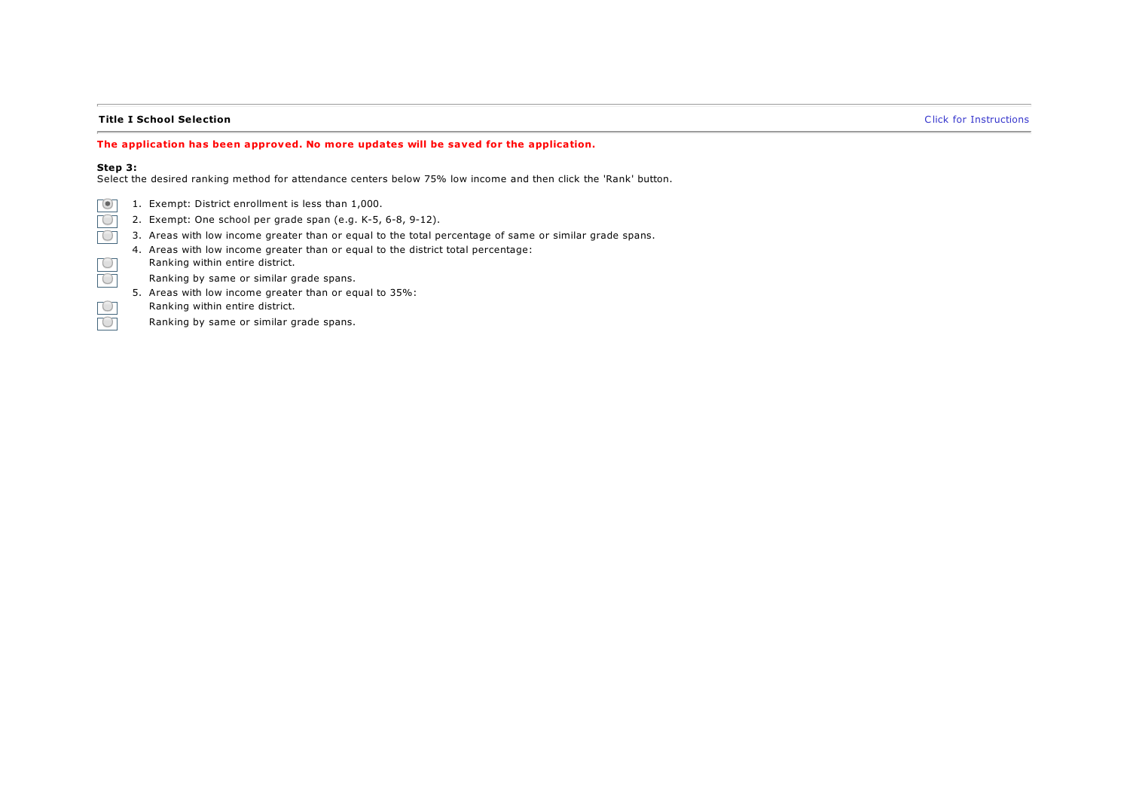### Title I School Selection **Click for [Instructions](https://sddoe.mtwgms.org/SDDOEGMSWeb/PageRefDocs/Title I School Selection Step 3.pdf)** Click for Instructions **Click** for Instructions

#### The application has been approved. No more updates will be saved for the application.

#### Step 3:

 $\overline{C}$ 

Select the desired ranking method for attendance centers below 75% low income and then click the 'Rank' button.

- 1. Exempt: District enrollment is less than 1,000.  $\lceil$  (0)
- 2. Exempt: One school per grade span (e.g. K-5, 6-8, 9-12).  $\overline{C}$
- 3. Areas with low income greater than or equal to the total percentage of same or similar grade spans.  $\Box$
- 4. Areas with low income greater than or equal to the district total percentage: Ranking within entire district. TО
	- Ranking by same or similar grade spans.
- $\Box$ 5. Areas with low income greater than or equal to 35%:
- Ranking within entire district. TО
	- Ranking by same or similar grade spans.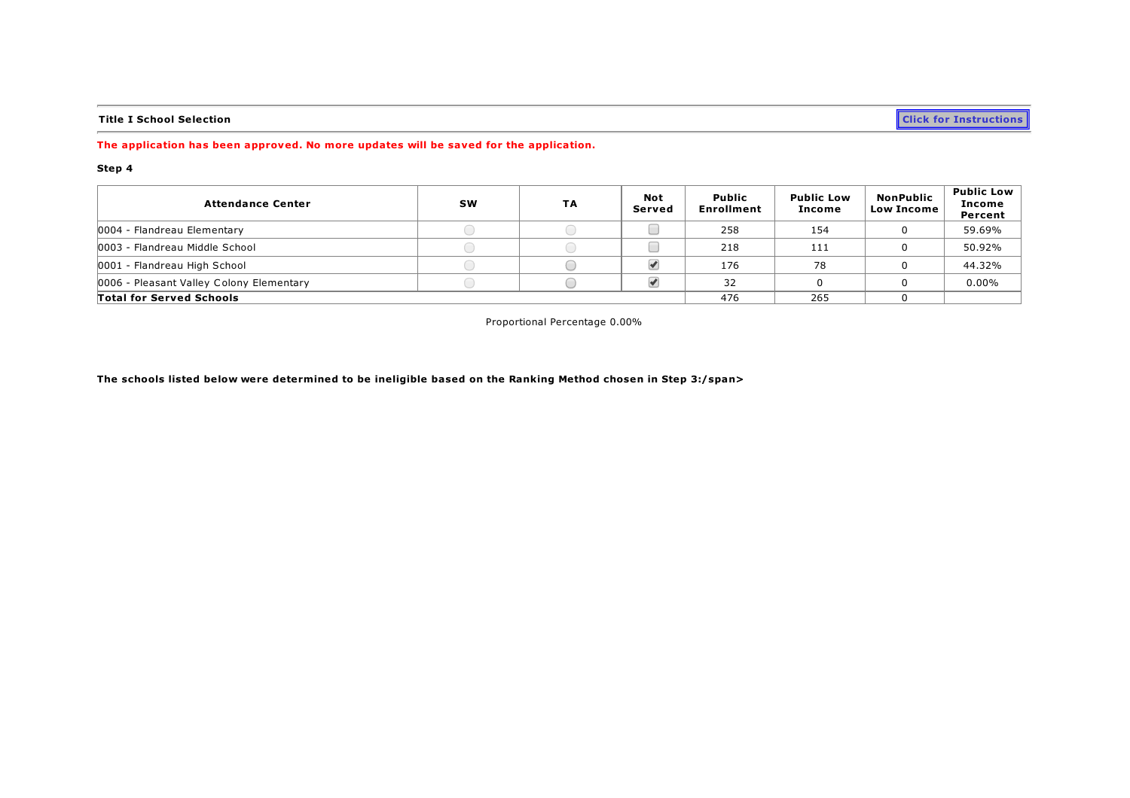Title I School Selection **Click for [Instructions](https://sddoe.mtwgms.org/SDDOEGMSWeb/PageRefDocs/Title I School Selection Step 4.pdf)** and the I School Selection contracts of the Instructions of the Instructions of  $\overline{\phantom{a}}$ 

## The application has been approved. No more updates will be saved for the application.

#### Step 4

| <b>Attendance Center</b>                 | <b>SW</b> | TA | <b>Not</b><br>Served | <b>Public</b><br><b>Enrollment</b> | <b>Public Low</b><br>Income | <b>NonPublic</b><br><b>Low Income</b> | <b>Public Low</b><br>Income<br>Percent |
|------------------------------------------|-----------|----|----------------------|------------------------------------|-----------------------------|---------------------------------------|----------------------------------------|
| 0004 - Flandreau Elementary              |           |    |                      | 258                                | 154                         |                                       | 59.69%                                 |
| 0003 - Flandreau Middle School           |           |    |                      | 218                                | 111                         |                                       | 50.92%                                 |
| 0001 - Flandreau High School             |           |    |                      | 176                                | 78                          |                                       | 44.32%                                 |
| 0006 - Pleasant Valley Colony Elementary |           |    |                      | 32                                 |                             |                                       | $0.00\%$                               |
| <b>Total for Served Schools</b>          |           |    |                      |                                    | 265                         |                                       |                                        |

Proportional Percentage 0.00%

The schools listed below were determined to be ineligible based on the Ranking Method chosen in Step 3:/span>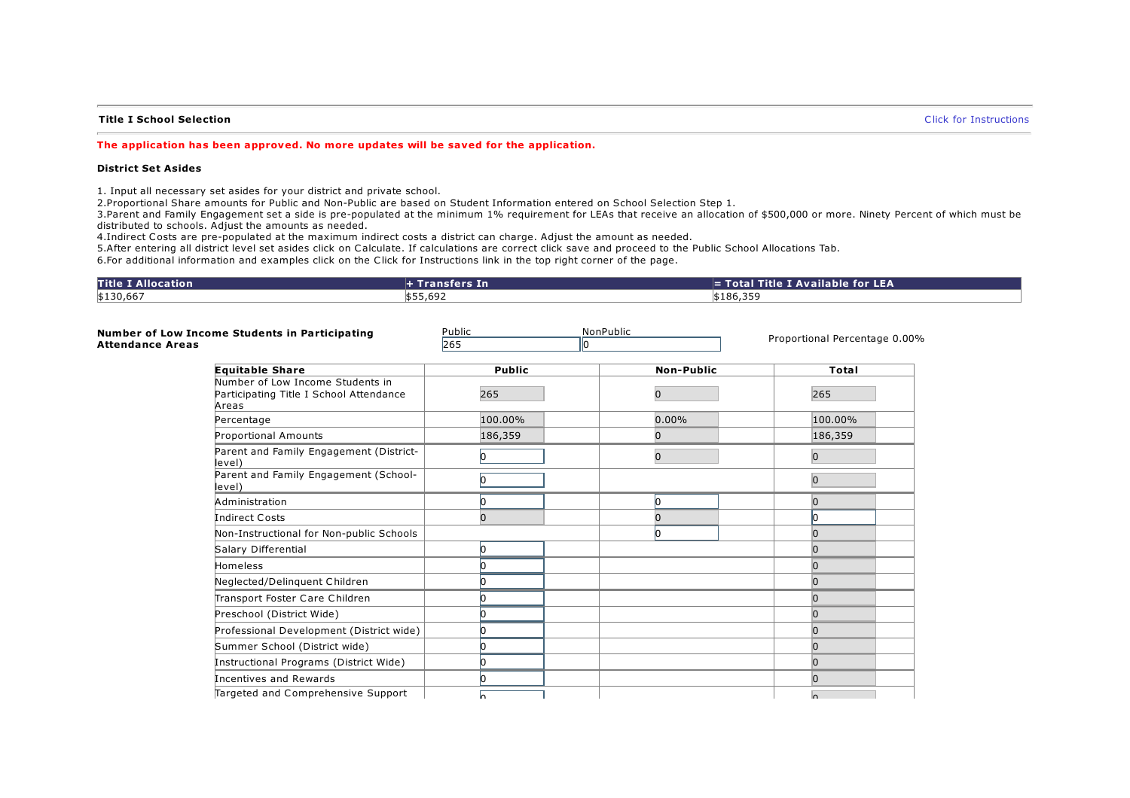#### **Title I School Selection** Click for [Instructions](https://sddoe.mtwgms.org/SDDOEGMSWeb/PageRefDocs/Title I School Selection Set Asides.pdf) (Click for Instructions of the Instructions of the I School Selection

#### The application has been approved. No more updates will be saved for the application.

#### District Set Asides

1. Input all necessary set asides for your district and private school.

2.Proportional Share amounts for Public and Non-Public are based on Student Information entered on School Selection Step 1.

3.Parent and Family Engagement set a side is pre-populated at the minimum 1% requirement for LEAs that receive an allocation of \$500,000 or more. Ninety Percent of which must be distributed to schools. Adjust the amounts as needed.

4.Indirect Costs are pre-populated at the maximum indirect costs a district can charge. Adjust the amount as needed.

5.After entering all district level set asides click on Calculate. If calculations are correct click save and proceed to the Public School Allocations Tab.

6.For additional information and examples click on the Click for Instructions link in the top right corner of the page.

| <b>Title I Allocation</b> | + Transfers In | $\equiv$ Total Title I Available for LEA |
|---------------------------|----------------|------------------------------------------|
| \$130,667                 | \$55,692       | \$186,359                                |

| <b>Attendance Areas</b> | Number of Low Income Students in Participating                                       | Public<br>265<br>l0 | NonPublic         | Proportional Percentage 0.00% |
|-------------------------|--------------------------------------------------------------------------------------|---------------------|-------------------|-------------------------------|
|                         |                                                                                      |                     |                   |                               |
|                         | <b>Equitable Share</b>                                                               | <b>Public</b>       | <b>Non-Public</b> | <b>Total</b>                  |
|                         | Number of Low Income Students in<br>Participating Title I School Attendance<br>Areas | 265                 | 0                 | 265                           |
|                         | Percentage                                                                           | 100.00%             | $0.00\%$          | 100.00%                       |
|                         | Proportional Amounts                                                                 | 186,359             |                   | 186,359                       |
|                         | Parent and Family Engagement (District-<br>level)                                    | lo.                 | $\overline{0}$    | $\overline{0}$                |
|                         | Parent and Family Engagement (School-<br>level)                                      | Ю                   |                   | $\overline{0}$                |
|                         | Administration                                                                       | n                   |                   | n                             |
|                         | <b>Indirect Costs</b>                                                                | $\Omega$            |                   | In                            |
|                         | Non-Instructional for Non-public Schools                                             |                     |                   |                               |
|                         | Salary Differential                                                                  | n                   |                   |                               |
|                         | <b>Homeless</b>                                                                      |                     |                   |                               |
|                         | Neglected/Delinquent Children                                                        |                     |                   |                               |
|                         | Transport Foster Care Children                                                       |                     |                   |                               |
|                         | Preschool (District Wide)                                                            |                     |                   |                               |
|                         | Professional Development (District wide)                                             |                     |                   |                               |
|                         | Summer School (District wide)                                                        |                     |                   | n                             |
|                         | Instructional Programs (District Wide)                                               |                     |                   | $\Omega$                      |
|                         | Incentives and Rewards                                                               |                     |                   | n                             |
|                         | Targeted and Comprehensive Support                                                   | In.                 |                   | $\sqrt{ }$                    |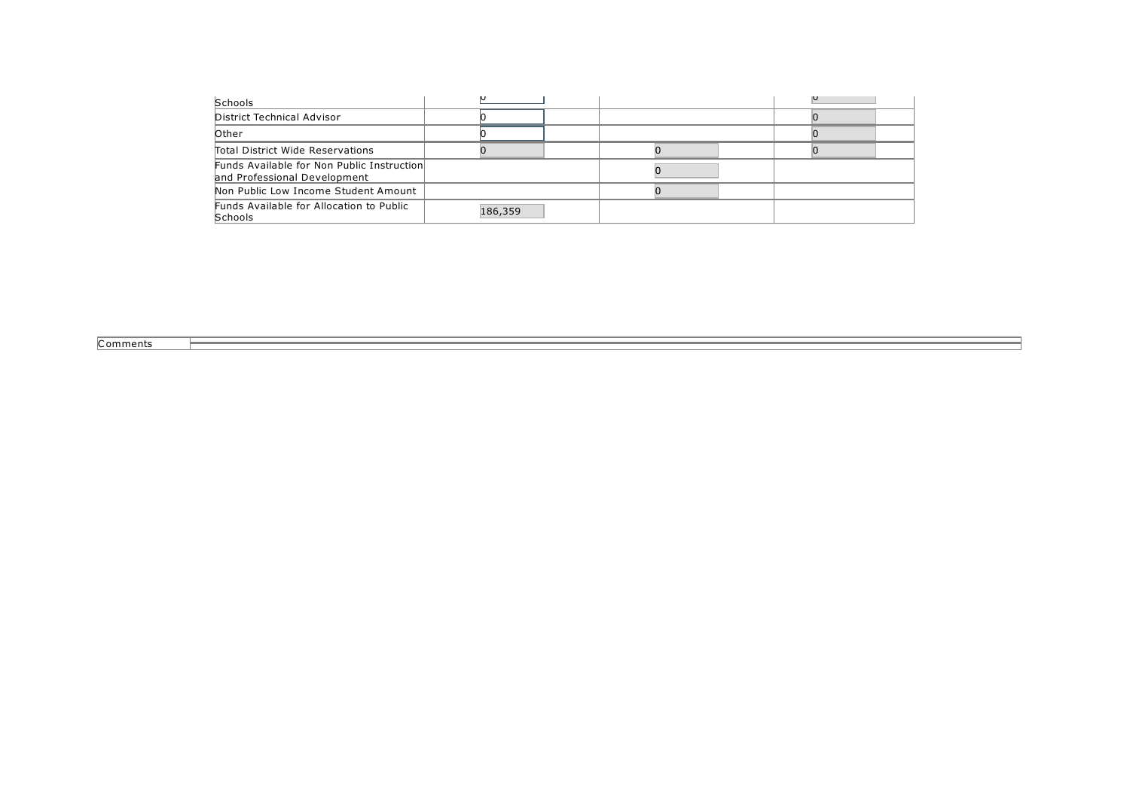| <b>Schools</b>                                                             |         |  |
|----------------------------------------------------------------------------|---------|--|
| District Technical Advisor                                                 |         |  |
| <b>Other</b>                                                               |         |  |
| Total District Wide Reservations                                           |         |  |
| Funds Available for Non Public Instruction<br>and Professional Development |         |  |
| Non Public Low Income Student Amount                                       |         |  |
| Funds Available for Allocation to Public<br><b>Schools</b>                 | 186,359 |  |

**Comments**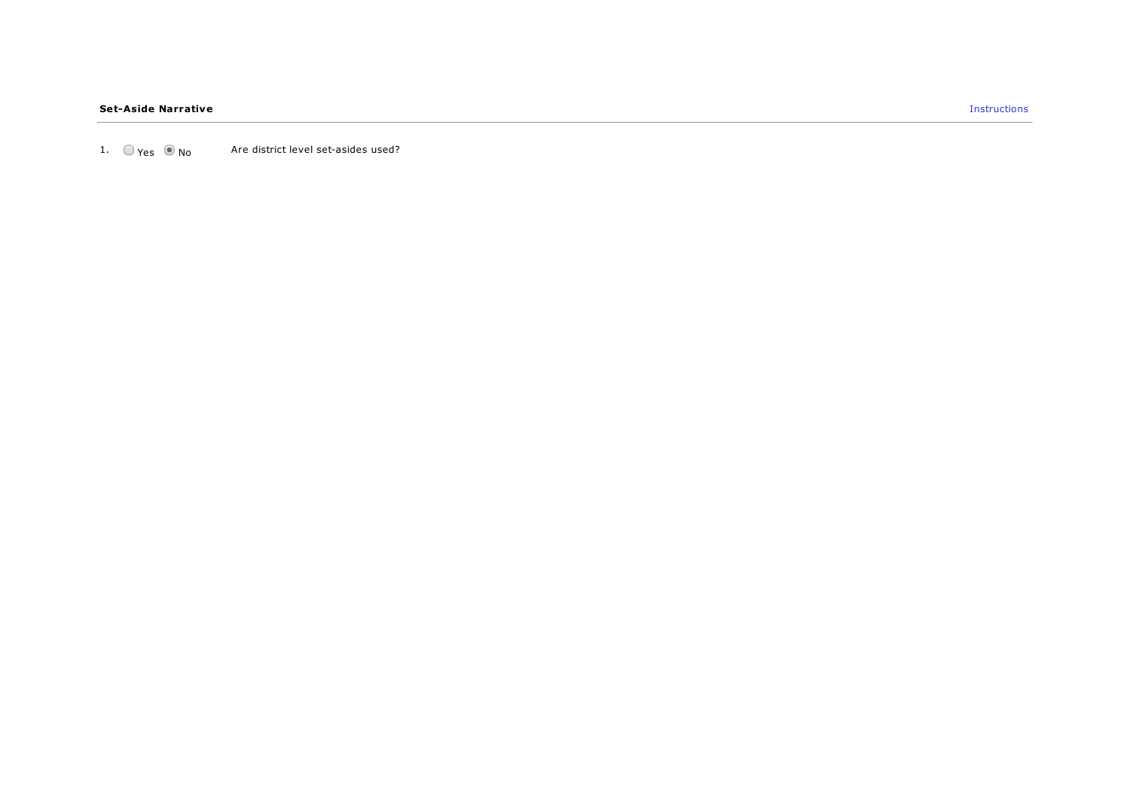1.  $\bigcirc$   $\bigcirc$   $\bigcirc$   $\bigcirc$   $\bigcirc$   $\bigcirc$   $\bigcirc$  Are district level set-asides used?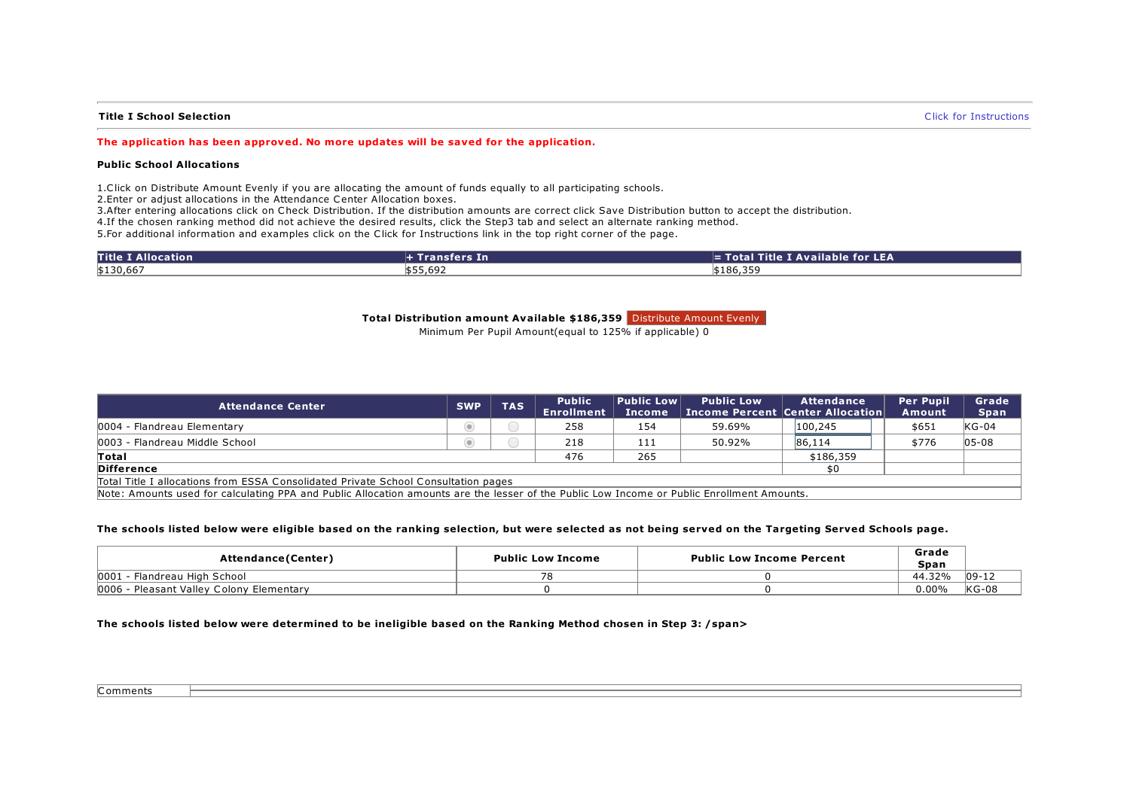### Title I School Selection **Selection** Click for [Instructions](https://sddoe.mtwgms.org/SDDOEGMSWeb/PageRefDocs/Public School Allocations Tab Instructions.pdf) and the Instructions of the Instructions of the Instructions of the Instructions of the Instructions of the Instructions of the Instructions of the Instructions o

#### The application has been approved. No more updates will be saved for the application.

#### Public School Allocations

1.Click on Distribute Amount Evenly if you are allocating the amount of funds equally to all participating schools.

2.Enter or adjust allocations in the Attendance Center Allocation boxes.

3.After entering allocations click on Check Distribution. If the distribution amounts are correct click Save Distribution button to accept the distribution.

4.If the chosen ranking method did not achieve the desired results, click the Step3 tab and select an alternate ranking method.

5.For additional information and examples click on the Click for Instructions link in the top right corner of the page.

| <b>Title I Allocation</b> | $H$ Transfers In | $\equiv$ Total Title I Available for LEA |
|---------------------------|------------------|------------------------------------------|
| \$130,667                 | \$55,692         | \$186,359                                |

#### Total Distribution amount Available \$186,359 Distribute Amount Evenly

Minimum Per Pupil Amount(equal to 125% if applicable) 0

| <b>Attendance Center</b>                                                                                                                   | <b>SWP</b> | <b>TAS</b> | <b>Public</b><br><b>Enrollment</b> | <b>Public Low</b><br><b>Income</b> | <b>Public Low</b> | Attendance<br><b>Income Percent Center Allocation</b> | <b>Per Pupil</b><br>Amount | Grade<br><b>Span</b> |
|--------------------------------------------------------------------------------------------------------------------------------------------|------------|------------|------------------------------------|------------------------------------|-------------------|-------------------------------------------------------|----------------------------|----------------------|
| 0004 - Flandreau Elementary                                                                                                                | $\circ$    |            | 258                                | 154                                | 59.69%            | 100,245                                               | \$651                      | $KG-04$              |
| 0003 - Flandreau Middle School                                                                                                             | $\odot$    |            | 218                                | 111                                | 50.92%            | 86,114                                                | \$776                      | $05 - 08$            |
| Total                                                                                                                                      |            |            | 476                                | 265                                |                   | \$186,359                                             |                            |                      |
| <b>Difference</b>                                                                                                                          |            |            |                                    |                                    |                   | \$0                                                   |                            |                      |
| Total Title I allocations from ESSA Consolidated Private School Consultation pages                                                         |            |            |                                    |                                    |                   |                                                       |                            |                      |
| Note: Amounts used for calculating PPA and Public Allocation amounts are the lesser of the Public Low Income or Public Enrollment Amounts. |            |            |                                    |                                    |                   |                                                       |                            |                      |

#### The schools listed below were eligible based on the ranking selection, but were selected as not being served on the Targeting Served Schools page.

| Attendance(Center)                          | <b>Public Low Income</b> | <b>Public Low Income Percent</b> | Grade<br>Span |          |
|---------------------------------------------|--------------------------|----------------------------------|---------------|----------|
| 0001<br>Flandreau High School               |                          |                                  | 44.32%        | $ 09-12$ |
| 0006<br>- Pleasant Valley Colony Elementary |                          |                                  | $0.00\%$      | $KG-08$  |

#### The schools listed below were determined to be ineligible based on the Ranking Method chosen in Step 3: /span>

Comments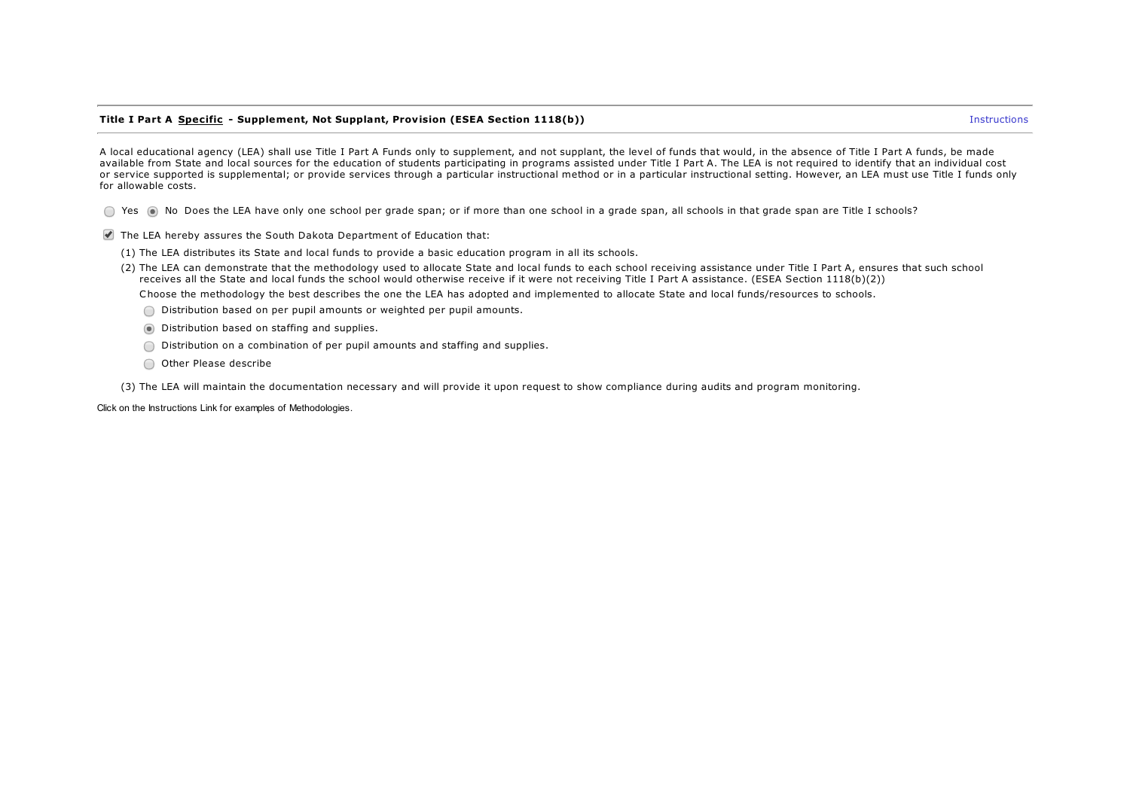#### Title I Part A Specific - Supplement, Not Supplant, Provision (ESEA Section 1118(b)) and the state of the state of the state of the state of the state of the state of the state of the state of the state of the state of the

A local educational agency (LEA) shall use Title I Part A Funds only to supplement, and not supplant, the level of funds that would, in the absence of Title I Part A funds, be made available from State and local sources for the education of students participating in programs assisted under Title I Part A. The LEA is not required to identify that an individual cost or service supported is supplemental; or provide services through a particular instructional method or in a particular instructional setting. However, an LEA must use Title I funds only for allowable costs.

◯ Yes ( No Does the LEA have only one school per grade span; or if more than one school in a grade span, all schools in that grade span are Title I schools?

- The LEA hereby assures the South Dakota Department of Education that:
	- (1) The LEA distributes its State and local funds to provide a basic education program in all its schools.
	- (2) The LEA can demonstrate that the methodology used to allocate State and local funds to each school receiving assistance under Title I Part A, ensures that such school receives all the State and local funds the school would otherwise receive if it were not receiving Title I Part A assistance. (ESEA Section 1118(b)(2))

Choose the methodology the best describes the one the LEA has adopted and implemented to allocate State and local funds/resources to schools.

- Distribution based on per pupil amounts or weighted per pupil amounts.
- Distribution based on staffing and supplies.
- Distribution on a combination of per pupil amounts and staffing and supplies.
- O Other Please describe

(3) The LEA will maintain the documentation necessary and will provide it upon request to show compliance during audits and program monitoring.

Click on the Instructions Link for examples of Methodologies.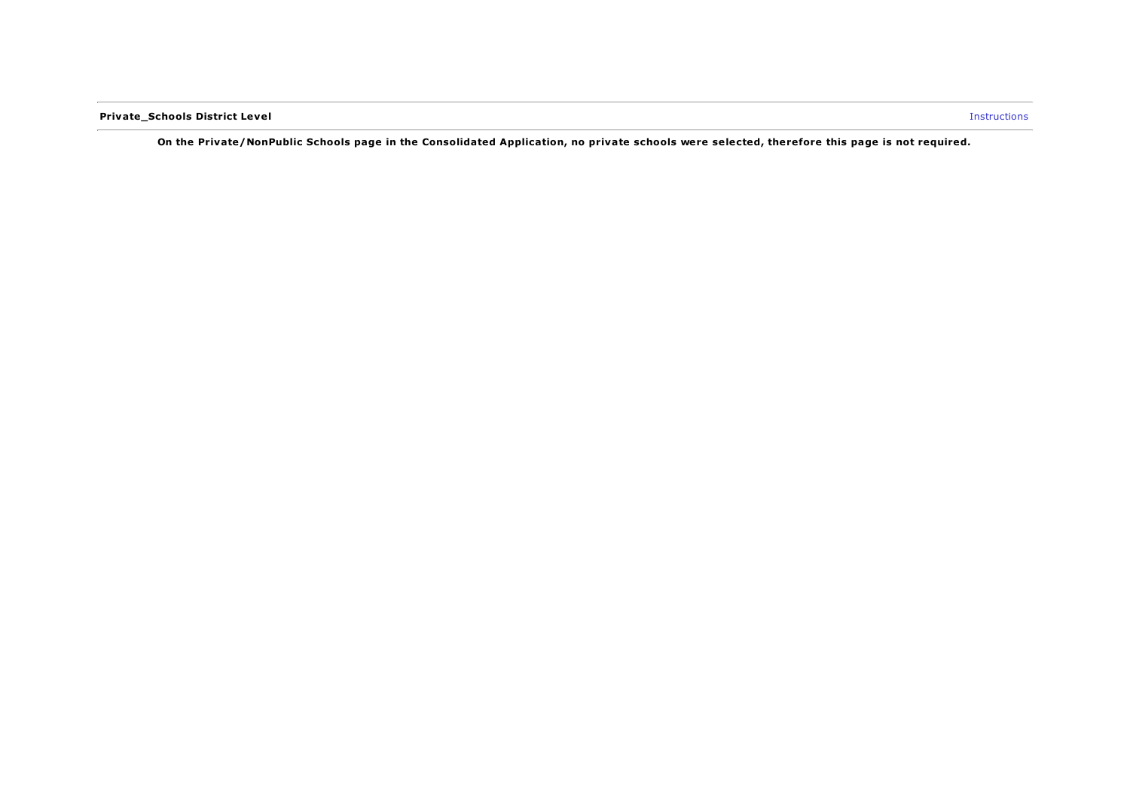Private\_Schools District Level Instructions

On the Private/NonPublic Schools page in the Consolidated Application, no private schools were selected, therefore this page is not required.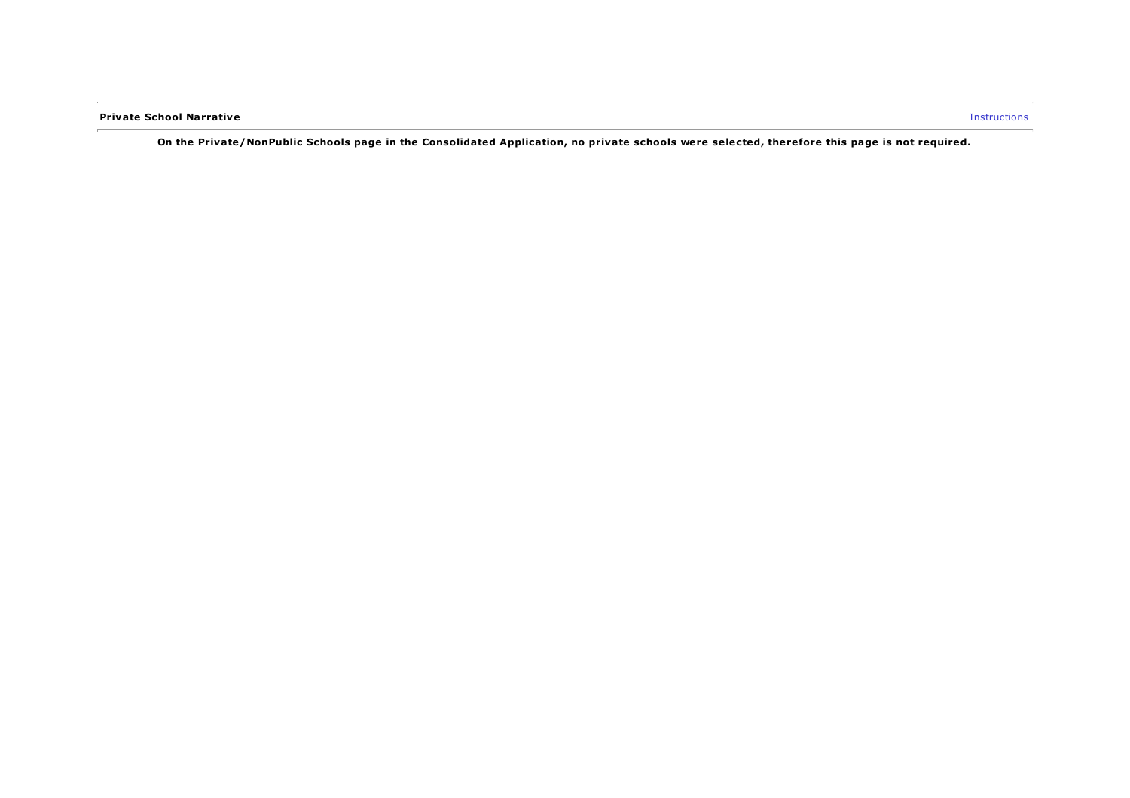**Private School Narrative Instructions** 

On the Private/NonPublic Schools page in the Consolidated Application, no private schools were selected, therefore this page is not required.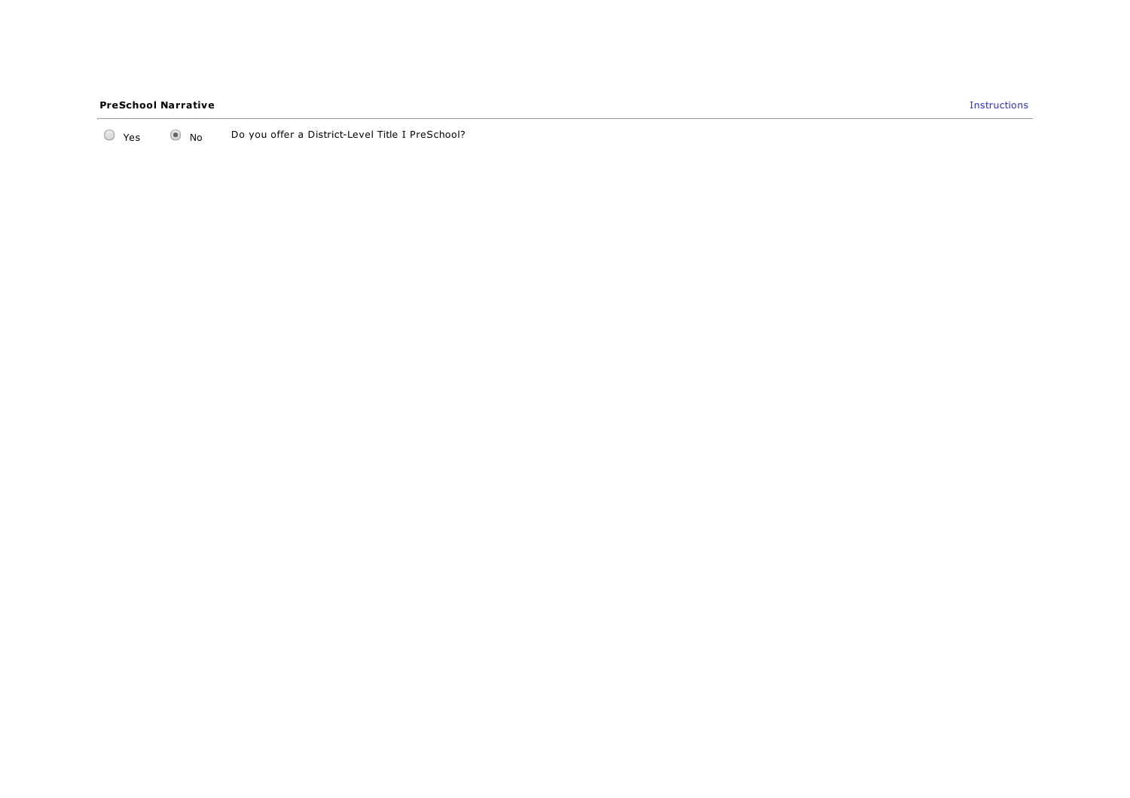#### PreSchool Narrative

Y e s N o Do you offer a District-Level Title I PreSchool?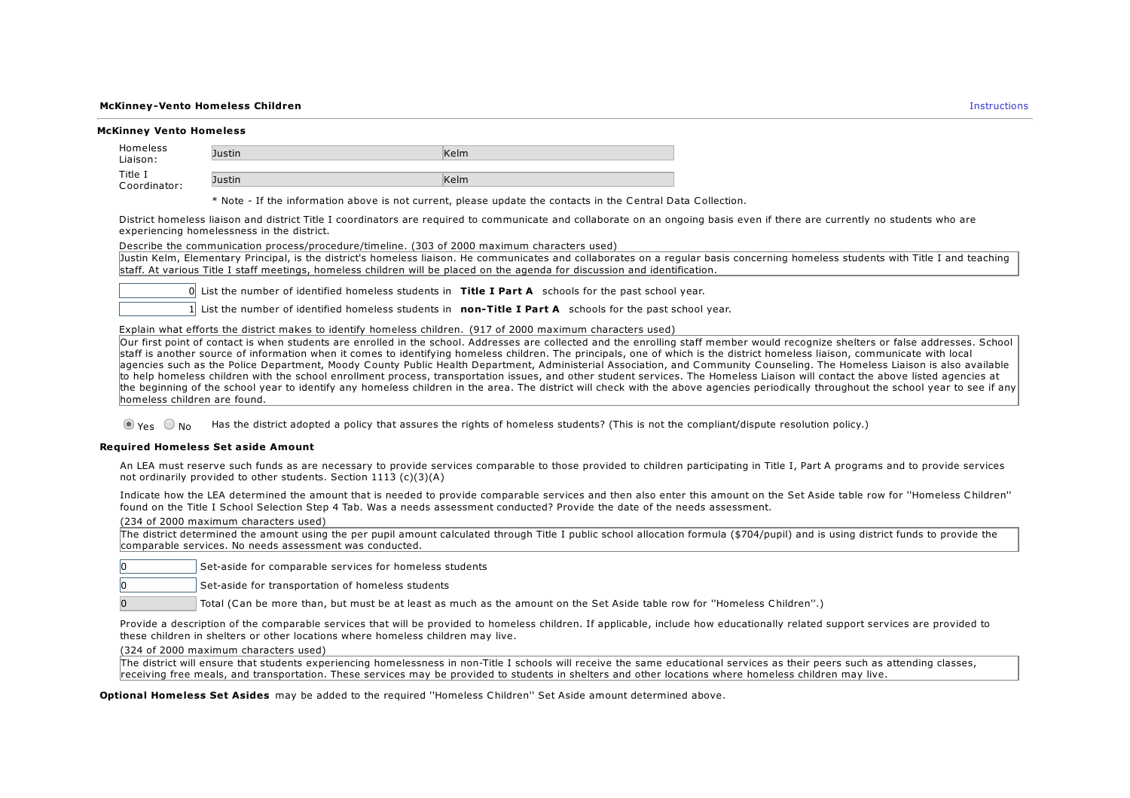#### **McKinney-Vento Homeless Children** Instructions and the control of the control of the control of the control of the control of the control of the control of the control of the control of the control of the control of the c

|  | <b>McKinney Vento Homeless</b> |  |
|--|--------------------------------|--|

| Homeless<br>Liaison:    | Justin. | Kelm |
|-------------------------|---------|------|
| Title I<br>Coordinator: | Justin  | Kelm |

\* Note - If the information above is not current, please update the contacts in the Central Data Collection.

District homeless liaison and district Title I coordinators are required to communicate and collaborate on an ongoing basis even if there are currently no students who are experiencing homelessness in the district.

Describe the communication process/procedure/timeline. (303 of 2000 maximum characters used)

Justin Kelm, Elementary Principal, is the district's homeless liaison. He communicates and collaborates on a regular basis concerning homeless students with Title I and teaching staff. At various Title I staff meetings, homeless children will be placed on the agenda for discussion and identification.

 $\theta$  List the number of identified homeless students in Title I Part A schools for the past school year.

1 List the number of identified homeless students in **non-Title I Part A** schools for the past school year.

Explain what efforts the district makes to identify homeless children. (917 of 2000 maximum characters used)

Our first point of contact is when students are enrolled in the school. Addresses are collected and the enrolling staff member would recognize shelters or false addresses. School staff is another source of information when it comes to identifying homeless children. The principals, one of which is the district homeless liaison, communicate with local agencies such as the Police Department, Moody County Public Health Department, Administerial Association, and Community Counseling. The Homeless Liaison is also available to help homeless children with the school enrollment process, transportation issues, and other student services. The Homeless Liaison will contact the above listed agencies at the beginning of the school year to identify any homeless children in the area. The district will check with the above agencies periodically throughout the school year to see if any homeless children are found.

 $\odot$   $\gamma_{PS}$   $\odot$  No Has the district adopted a policy that assures the rights of homeless students? (This is not the compliant/dispute resolution policy.)

#### Required Homeless Set aside Amount

An LEA must reserve such funds as are necessary to provide services comparable to those provided to children participating in Title I, Part A programs and to provide services not ordinarily provided to other students. Section 1113 (c)(3)(A)

Indicate how the LEA determined the amount that is needed to provide comparable services and then also enter this amount on the Set Aside table row for ''Homeless Children'' found on the Title I School Selection Step 4 Tab. Was a needs assessment conducted? Provide the date of the needs assessment.

(234 of 2000 maximum characters used)

| The district determined the amount using the per pupil amount calculated through Title I public school allocation formula (\$704/pupil) and is using district funds to provide the |  |  |
|------------------------------------------------------------------------------------------------------------------------------------------------------------------------------------|--|--|
| comparable services. No needs assessment was conducted.                                                                                                                            |  |  |

Set-aside for comparable services for homeless students

0 Set-aside for transportation of homeless students

0 Total (Can be more than, but must be at least as much as the amount on the Set Aside table row for ''Homeless Children''.)

Provide a description of the comparable services that will be provided to homeless children. If applicable, include how educationally related support services are provided to these children in shelters or other locations where homeless children may live.

(324 of 2000 maximum characters used)

The district will ensure that students experiencing homelessness in non-Title I schools will receive the same educational services as their peers such as attending classes, receiving free meals, and transportation. These services may be provided to students in shelters and other locations where homeless children may live.

Optional Homeless Set Asides may be added to the required "Homeless Children" Set Aside amount determined above.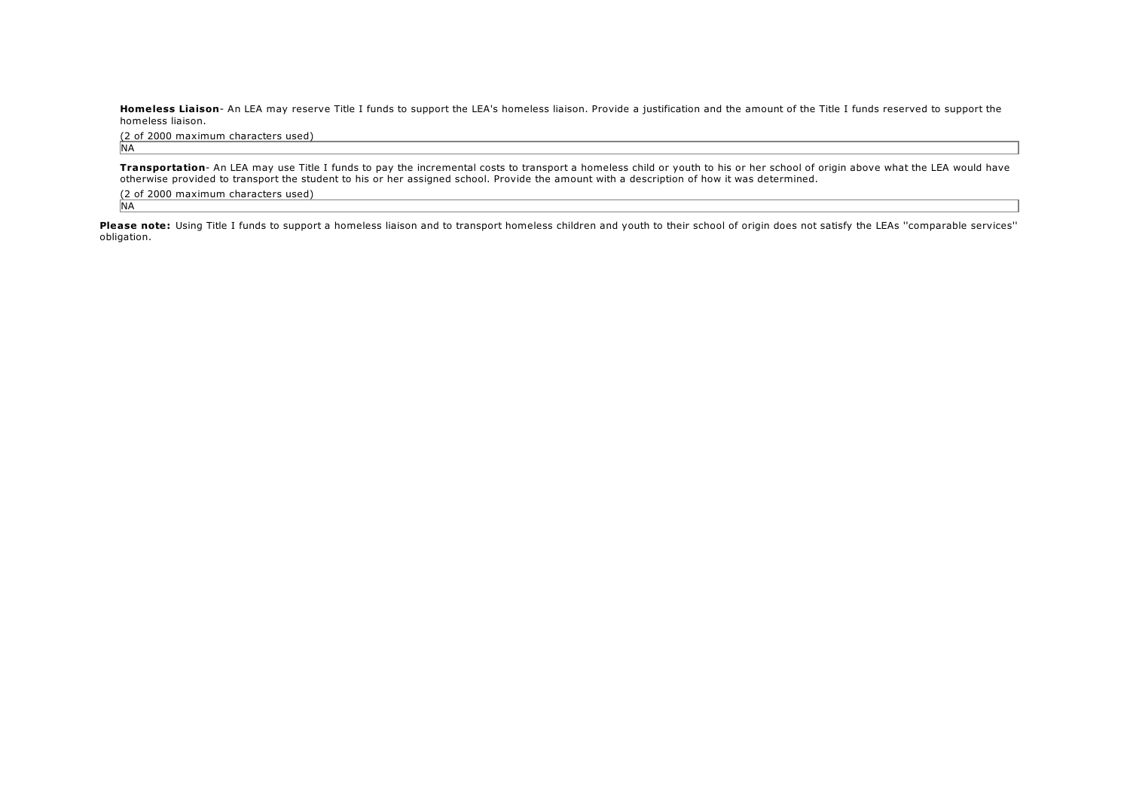Homeless Liaison- An LEA may reserve Title I funds to support the LEA's homeless liaison. Provide a justification and the amount of the Title I funds reserved to support the homeless liaison.

(2 of 2000 maximum characters used) **NA** 

Transportation- An LEA may use Title I funds to pay the incremental costs to transport a homeless child or youth to his or her school of origin above what the LEA would have otherwise provided to transport the student to his or her assigned school. Provide the amount with a description of how it was determined.

(2 of 2000 maximum characters used) N<sub>A</sub>

Please note: Using Title I funds to support a homeless liaison and to transport homeless children and youth to their school of origin does not satisfy the LEAs "comparable services" obligation.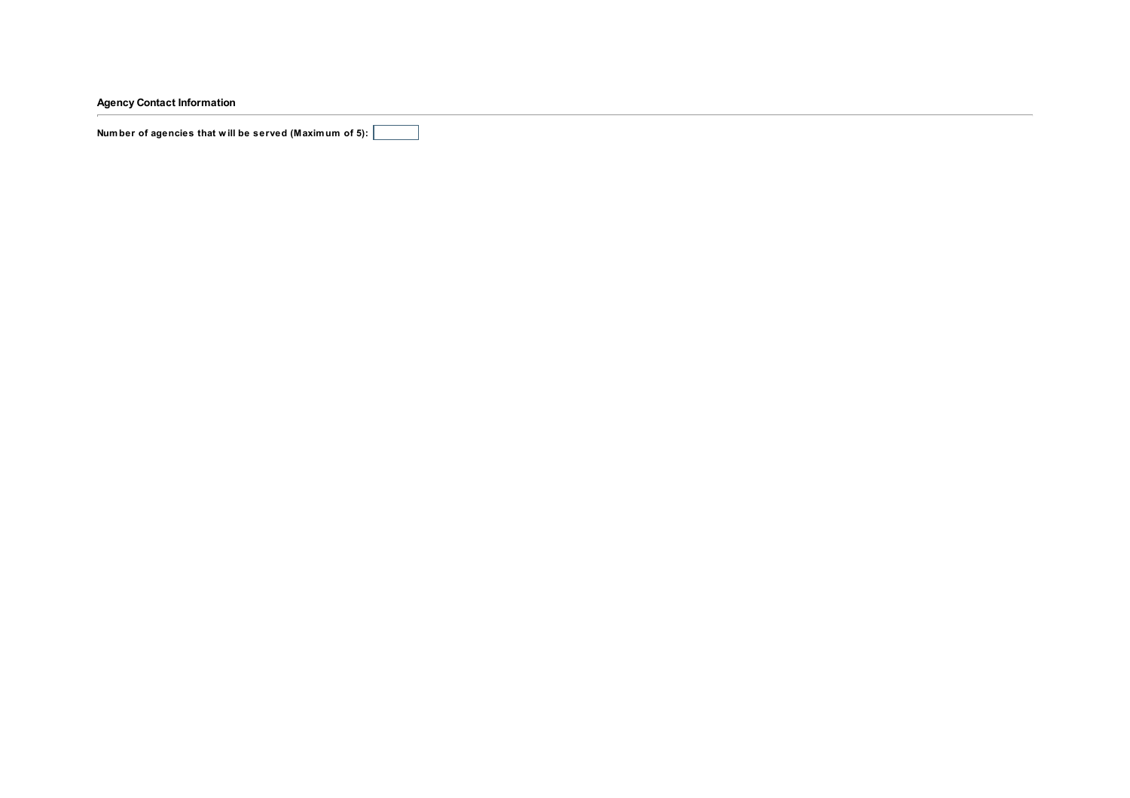Agency Contact Information

Number of agencies that will be served (Maximum of 5):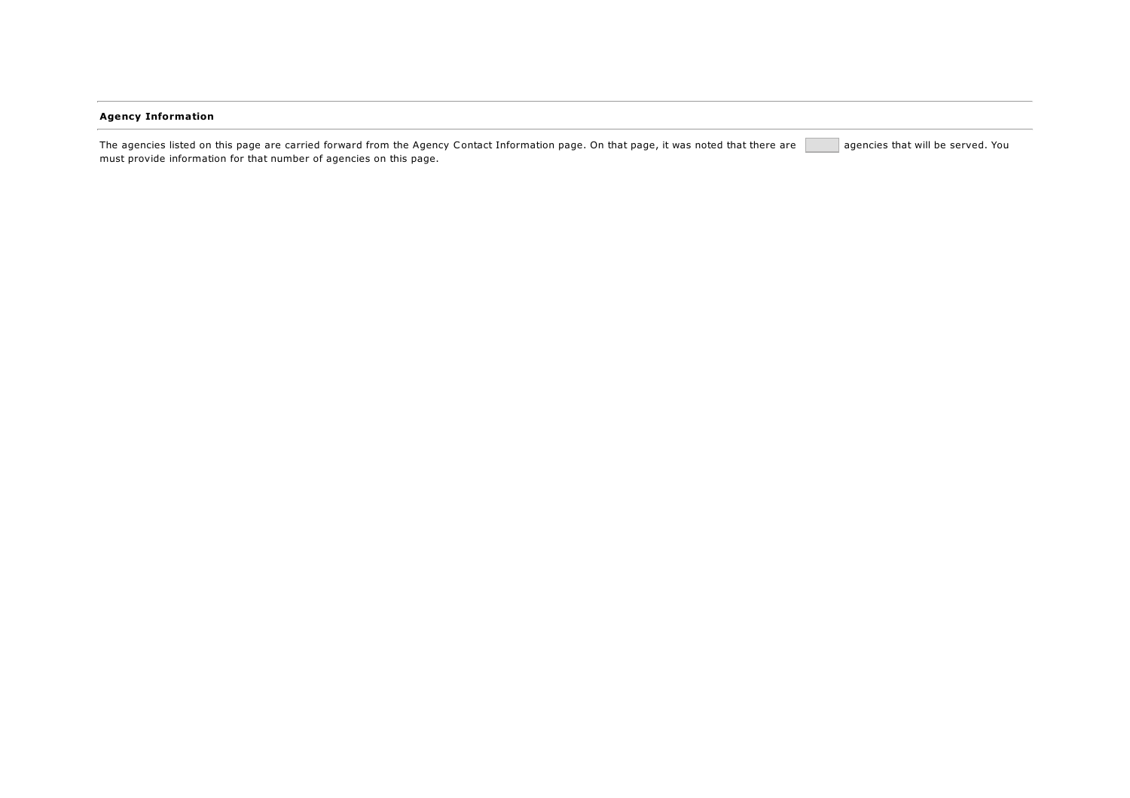## Agency Information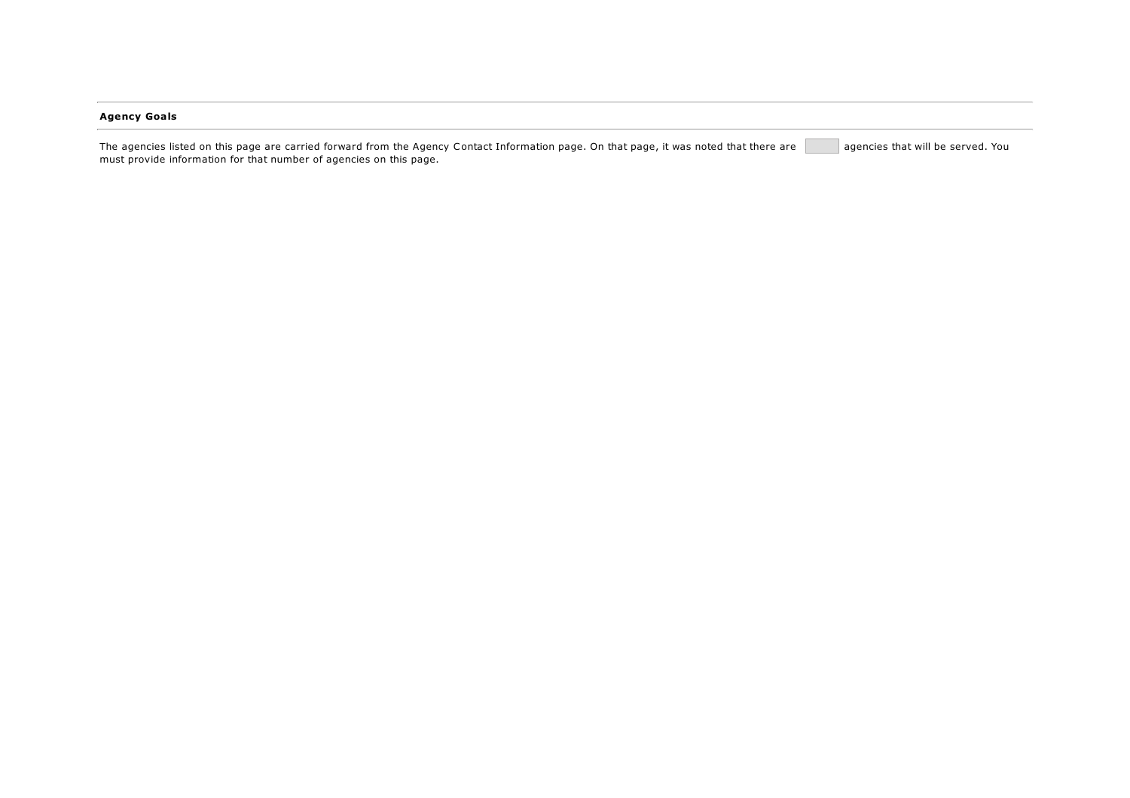## Agency Goals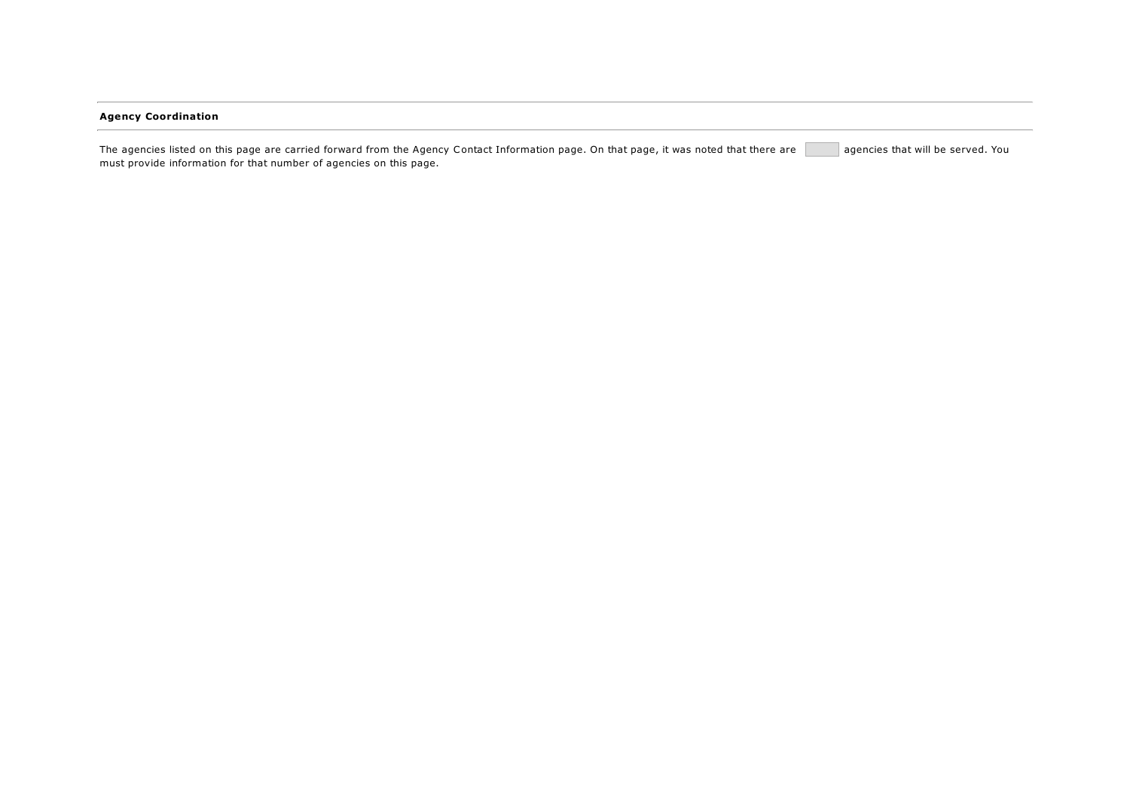## Agency Coordination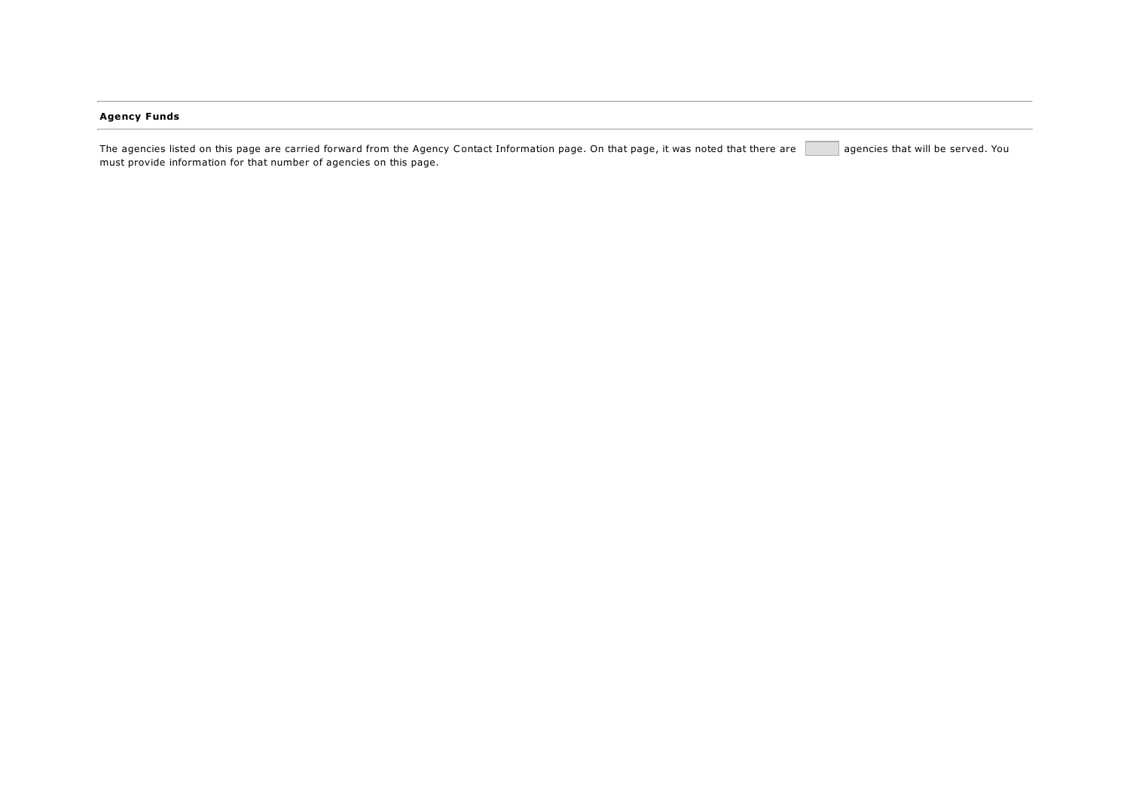## Agency Funds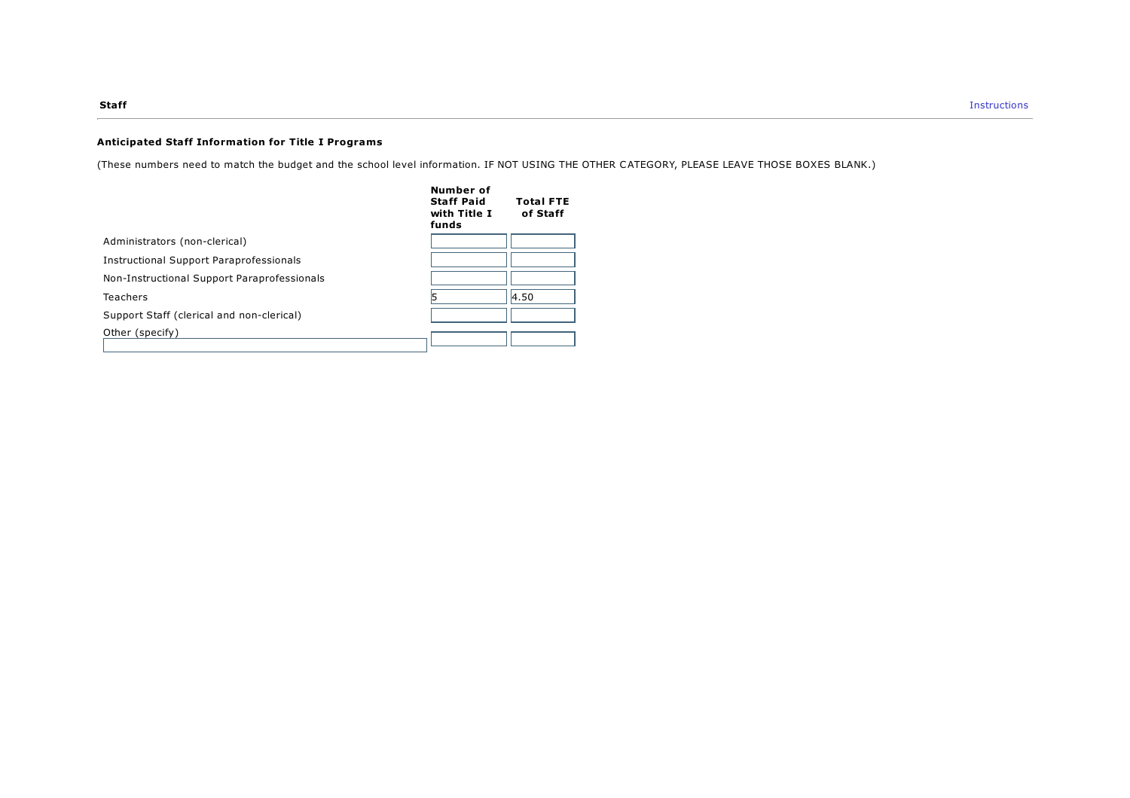## Anticipated Staff Information for Title I Programs

(These numbers need to match the budget and the school level information. IF NOT USING THE OTHER CATEGORY, PLEASE LEAVE THOSE BOXES BLANK.)

|                                                | Number of<br><b>Staff Paid</b><br>with Title I<br>funds | <b>Total FTE</b><br>of Staff |
|------------------------------------------------|---------------------------------------------------------|------------------------------|
| Administrators (non-clerical)                  |                                                         |                              |
| <b>Instructional Support Paraprofessionals</b> |                                                         |                              |
| Non-Instructional Support Paraprofessionals    |                                                         |                              |
| Teachers                                       |                                                         | 4.50                         |
| Support Staff (clerical and non-clerical)      |                                                         |                              |
| Other (specify)                                |                                                         |                              |
|                                                |                                                         |                              |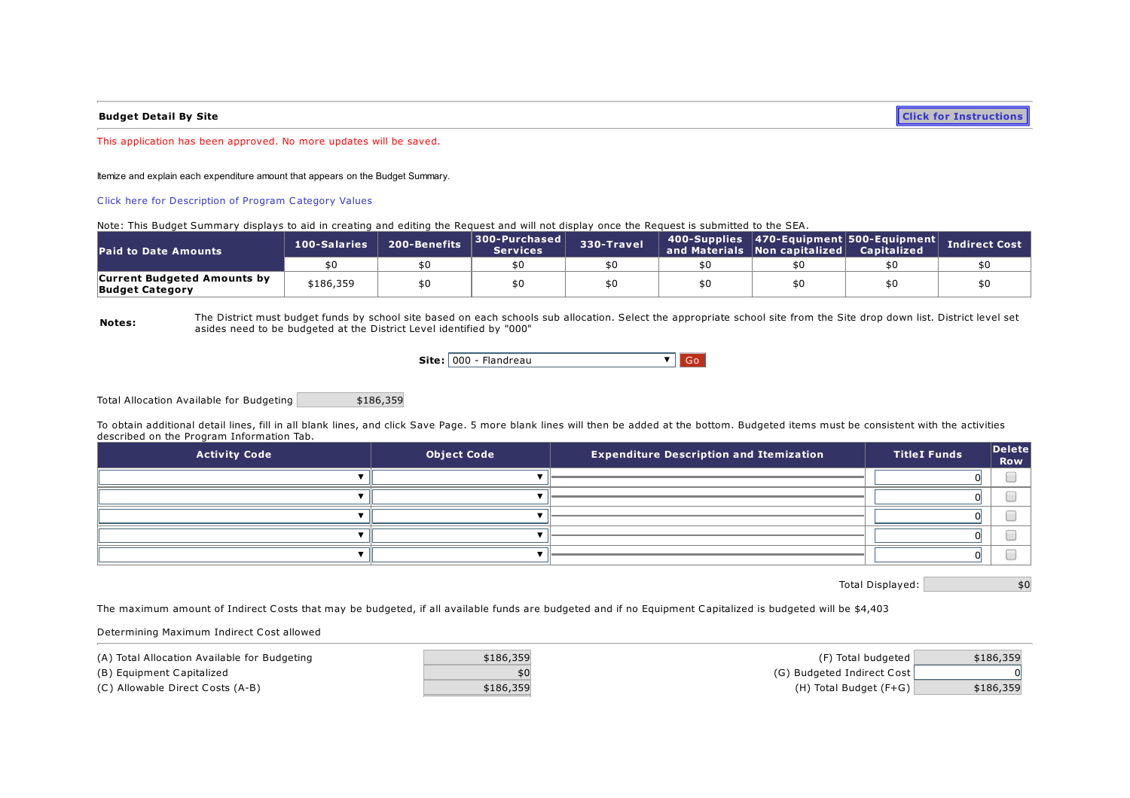**Budget Detail By Site Click for [Instructions](https://sddoe.mtwgms.org/SDDOEGMSWeb/PageRefDocs/TitleIBudgetExample.pdf)** 

This application has been approved. No more updates will be saved.

Itemize and explain each expenditure amount that appears on the Budget Summary.

Click here for [Description](https://sddoe.mtwgms.org/sddoegmsweb/PageRefDocs/ProgramCategoryDescriptions.pdf) of Program Category Values

Note: This Budget Summary displays to aid in creating and editing the Request and will not display once the Request is submitted to the SEA.

| <b>Paid to Date Amounts</b>                                  | 100-Salaries | 200-Benefits | 300-Purchased<br><b>Services</b> | 330-Travel | 400-Supplies 470-Equipment 500-Equipment<br>and Materials Non capitalized | <b>Capitalized</b> | Indirect Cost |
|--------------------------------------------------------------|--------------|--------------|----------------------------------|------------|---------------------------------------------------------------------------|--------------------|---------------|
|                                                              | \$0          |              |                                  |            |                                                                           |                    |               |
| <b>Current Budgeted Amounts by</b><br><b>Budget Category</b> | \$186,359    |              |                                  |            |                                                                           | \$C                |               |

Notes: The District must budget funds by school site based on each schools sub allocation. Select the appropriate school site from the Site drop down list. District level set asides need to be budgeted at the District Level identified by "000"

|  | <b>Site:</b> $000 - \text{Flandreau}$ |  |
|--|---------------------------------------|--|
|--|---------------------------------------|--|

Total Allocation Available for Budgeting \$186,359

To obtain additional detail lines, fill in all blank lines, and click Save Page. 5 more blank lines will then be added at the bottom. Budgeted items must be consistent with the activities described on the Program Information Tab.

| <b>Activity Code</b> | <b>Object Code</b> | <b>Expenditure Description and Itemization</b> | <b>TitleI Funds</b> | $\vert$ Delete $\vert$<br>Row |
|----------------------|--------------------|------------------------------------------------|---------------------|-------------------------------|
|                      |                    |                                                |                     |                               |
|                      |                    |                                                |                     |                               |
|                      |                    |                                                |                     |                               |
|                      |                    |                                                |                     |                               |
|                      |                    |                                                |                     |                               |

Total Displayed:  $\begin{bmatrix} 1 & 0 & 0 \\ 0 & 0 & 0 \\ 0 & 0 & 0 \end{bmatrix}$ 

The maximum amount of Indirect Costs that may be budgeted, if all available funds are budgeted and if no Equipment Capitalized is budgeted will be \$4,403

Determining Maximum Indirect Cost allowed

| (A) Total Allocation Available for Budgeting | \$186,359 | (F) Total budgeted         | \$186,359 |
|----------------------------------------------|-----------|----------------------------|-----------|
| (B) Equipment Capitalized                    |           | (G) Budgeted Indirect Cost |           |
| (C) Allowable Direct Costs (A-B)             | \$186,359 | $(H)$ Total Budget (F+G)   | \$186,359 |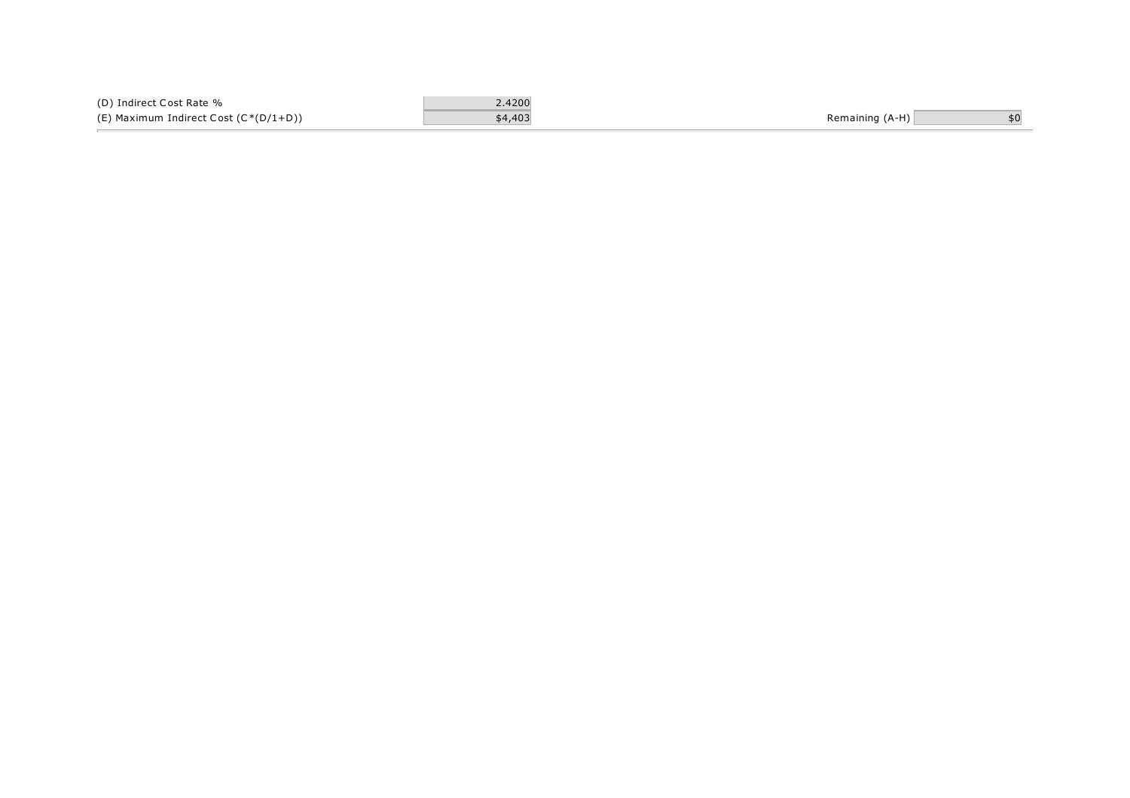| (D) Indirect Cost Rate %              | 2.4200  |                 |  |
|---------------------------------------|---------|-----------------|--|
| (E) Maximum Indirect Cost (C*(D/1+D)) | \$4,403 | Remaining (A-H) |  |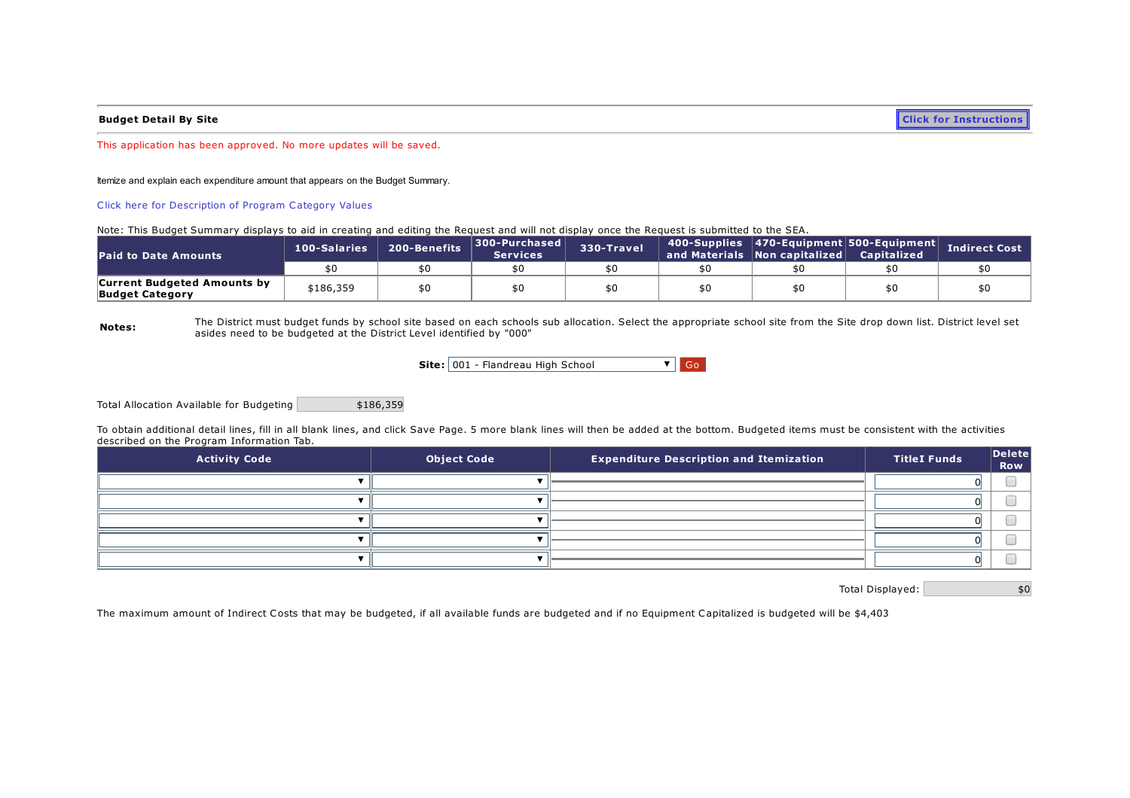Budget Detail By Site **Click for [Instructions](https://sddoe.mtwgms.org/SDDOEGMSWeb/PageRefDocs/TitleIBudgetExample.pdf)** 

This application has been approved. No more updates will be saved.

Itemize and explain each expenditure amount that appears on the Budget Summary.

Click here for [Description](https://sddoe.mtwgms.org/sddoegmsweb/PageRefDocs/ProgramCategoryDescriptions.pdf) of Program Category Values

Note: This Budget Summary displays to aid in creating and editing the Request and will not display once the Request is submitted to the SEA.

| <b>Paid to Date Amounts</b>                                  | 100-Salaries | 200-Benefits | 300-Purchased<br><b>Services</b> | 330-Travel | 400-Supplies   470-Equipment   500-Equipment  <br>and Materials Non capitalized | . Capitalized | <b>Indirect Cost</b> |
|--------------------------------------------------------------|--------------|--------------|----------------------------------|------------|---------------------------------------------------------------------------------|---------------|----------------------|
|                                                              |              |              |                                  |            |                                                                                 |               |                      |
| <b>Current Budgeted Amounts by</b><br><b>Budget Category</b> | \$186,359    |              |                                  |            |                                                                                 |               |                      |

Notes: The District must budget funds by school site based on each schools sub allocation. Select the appropriate school site from the Site drop down list. District level set asides need to be budgeted at the District Level identified by "000"

Site: 001 - Flandreau High School VGo

Total Allocation Available for Budgeting | \$186,359

To obtain additional detail lines, fill in all blank lines, and click Save Page. 5 more blank lines will then be added at the bottom. Budgeted items must be consistent with the activities described on the Program Information Tab.

| <b>Activity Code</b> | <b>Object Code</b> | <b>Expenditure Description and Itemization</b> | <b>TitleI Funds</b> | Delete <br><b>Row</b> |
|----------------------|--------------------|------------------------------------------------|---------------------|-----------------------|
|                      |                    |                                                |                     |                       |
|                      |                    |                                                |                     |                       |
|                      |                    |                                                |                     |                       |
|                      |                    |                                                |                     |                       |
|                      |                    |                                                |                     |                       |

Total Displayed:  $$0$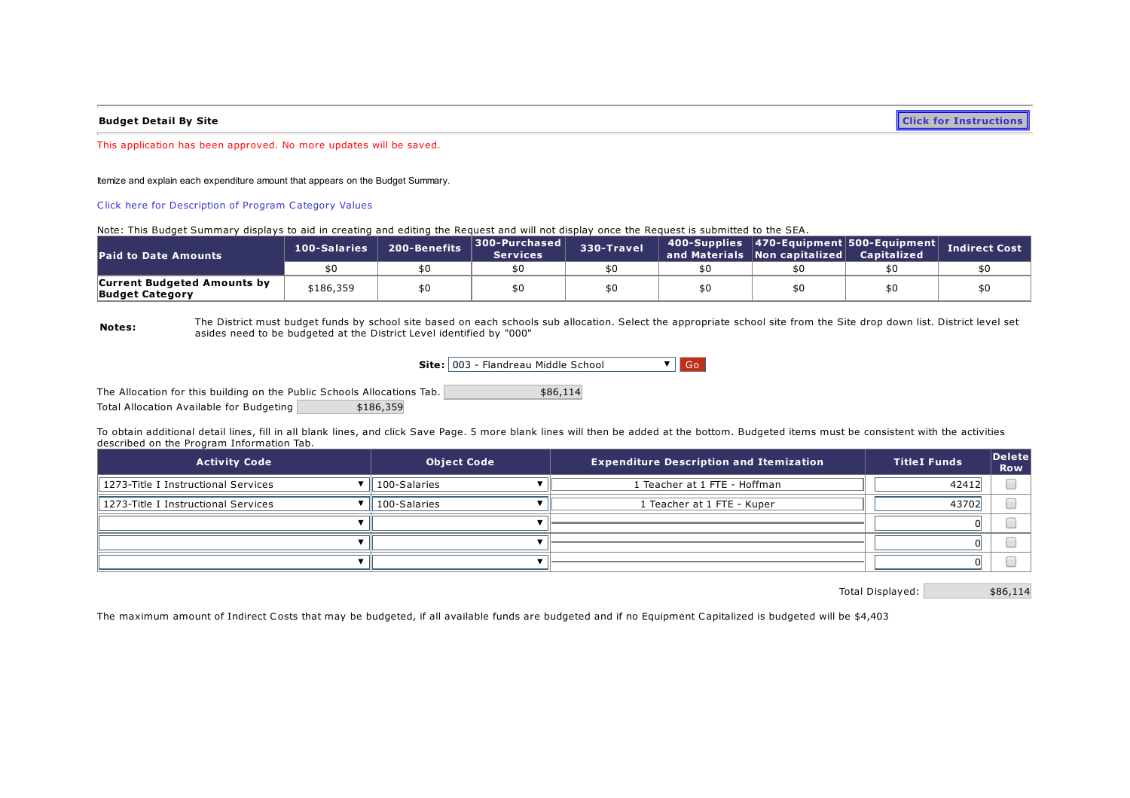**Budget Detail By Site Click for [Instructions](https://sddoe.mtwgms.org/SDDOEGMSWeb/PageRefDocs/TitleIBudgetExample.pdf)** 

This application has been approved. No more updates will be saved.

Itemize and explain each expenditure amount that appears on the Budget Summary.

Click here for [Description](https://sddoe.mtwgms.org/sddoegmsweb/PageRefDocs/ProgramCategoryDescriptions.pdf) of Program Category Values

Note: This Budget Summary displays to aid in creating and editing the Request and will not display once the Request is submitted to the SEA.

| <b>Paid to Date Amounts</b>                                  | 100-Salaries | 200-Benefits | 300-Purchased<br><b>Services</b> | 330-Travel | 400-Supplies   470-Equipment   500-Equipment  <br>and Materials Non capitalized | <b>Capitalized</b> | <b>Indirect Cost</b> |
|--------------------------------------------------------------|--------------|--------------|----------------------------------|------------|---------------------------------------------------------------------------------|--------------------|----------------------|
|                                                              |              |              |                                  |            |                                                                                 |                    |                      |
| <b>Current Budgeted Amounts by</b><br><b>Budget Category</b> | \$186,359    |              |                                  |            |                                                                                 |                    |                      |

Notes: The District must budget funds by school site based on each schools sub allocation. Select the appropriate school site from the Site drop down list. District level set asides need to be budgeted at the District Level identified by "000"

Site: 003 - Flandreau Middle School VGo

The Allocation for this building on the Public Schools Allocations Tab. Total Allocation Available for Budgeting \$186,359 \$86,114

To obtain additional detail lines, fill in all blank lines, and click Save Page. 5 more blank lines will then be added at the bottom. Budgeted items must be consistent with the activities described on the Program Information Tab.

| <b>Activity Code</b>                | <b>Expenditure Description and Itemization</b><br><b>Object Code</b> |                              | <b>TitleI Funds</b> | $\vert$ Delete $\vert$<br><b>Row</b> |
|-------------------------------------|----------------------------------------------------------------------|------------------------------|---------------------|--------------------------------------|
| 1273-Title I Instructional Services | 100-Salaries                                                         | 1 Teacher at 1 FTE - Hoffman | 42412               |                                      |
| 1273-Title I Instructional Services | 100-Salaries                                                         | 1 Teacher at 1 FTE - Kuper   | 43702               |                                      |
|                                     |                                                                      |                              |                     |                                      |
|                                     |                                                                      |                              |                     |                                      |
|                                     |                                                                      |                              |                     |                                      |

Total Displayed:  $$86,114$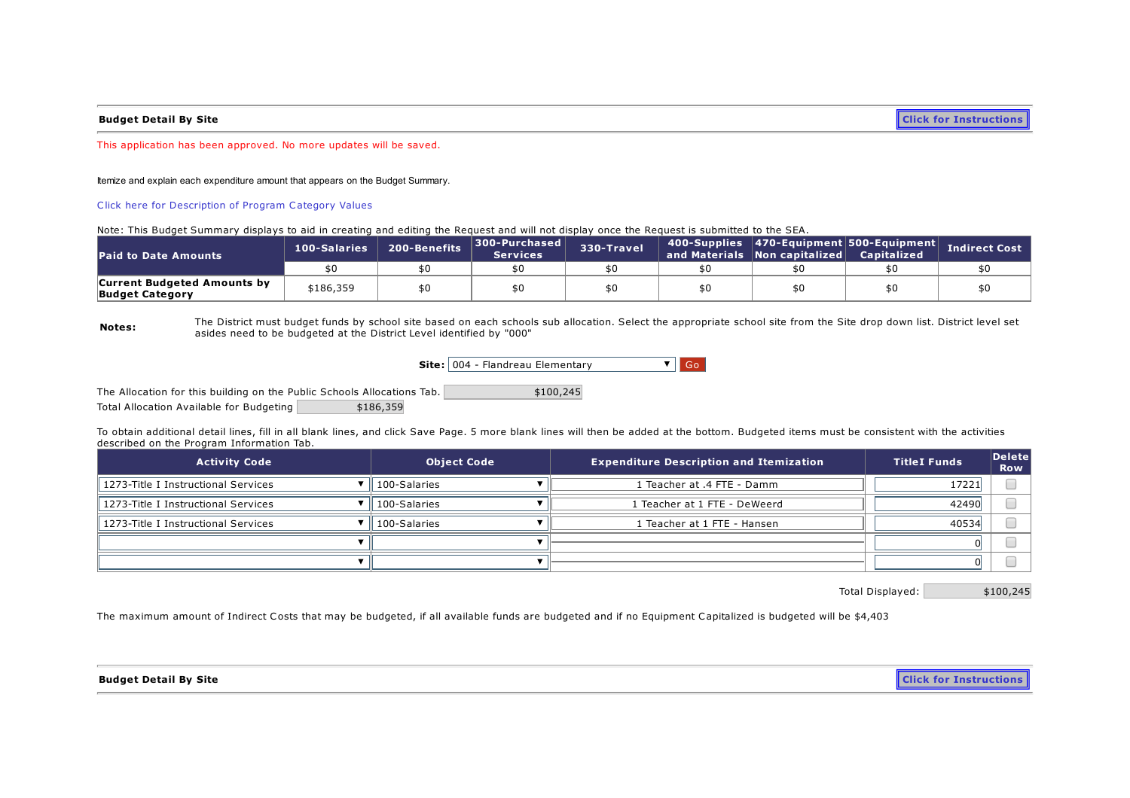Budget Detail By Site **Click for [Instructions](https://sddoe.mtwgms.org/SDDOEGMSWeb/PageRefDocs/TitleIBudgetExample.pdf)** 

This application has been approved. No more updates will be saved.

Itemize and explain each expenditure amount that appears on the Budget Summary.

Click here for [Description](https://sddoe.mtwgms.org/sddoegmsweb/PageRefDocs/ProgramCategoryDescriptions.pdf) of Program Category Values

Note: This Budget Summary displays to aid in creating and editing the Request and will not display once the Request is submitted to the SEA.

| <b>Paid to Date Amounts</b>                                  | 100-Salaries | 200-Benefits | 300-Purchased<br><b>Services</b> | 330-Travel | 400-Supplies 470-Equipment 500-Equipment<br>$^{\prime}$ and Materials $\,$ Non capitalized $\,$ | <b>Capitalized</b> | <b>Indirect Cost</b> |
|--------------------------------------------------------------|--------------|--------------|----------------------------------|------------|-------------------------------------------------------------------------------------------------|--------------------|----------------------|
|                                                              | \$0          | \$0          |                                  |            |                                                                                                 |                    |                      |
| <b>Current Budgeted Amounts by</b><br><b>Budget Category</b> | \$186,359    | \$0          |                                  |            |                                                                                                 |                    |                      |

Notes: The District must budget funds by school site based on each schools sub allocation. Select the appropriate school site from the Site drop down list. District level set asides need to be budgeted at the District Level identified by "000"

Site: 004 - Flandreau Elementary **V** Go

The Allocation for this building on the Public Schools Allocations Tab. Total Allocation Available for Budgeting \$186,359 \$100,245

To obtain additional detail lines, fill in all blank lines, and click Save Page. 5 more blank lines will then be added at the bottom. Budgeted items must be consistent with the activities described on the Program Information Tab.

| <b>Activity Code</b>                | <b>Object Code</b> | <b>Expenditure Description and Itemization</b> | <b>TitleI Funds</b> | $\vert$ Delete $\vert$<br><b>Row</b> |
|-------------------------------------|--------------------|------------------------------------------------|---------------------|--------------------------------------|
| 1273-Title I Instructional Services | 100-Salaries       | 1 Teacher at .4 FTE - Damm                     | 17221               |                                      |
| 1273-Title I Instructional Services | 100-Salaries       | 1 Teacher at 1 FTE - DeWeerd                   | 42490               |                                      |
| 1273-Title I Instructional Services | 100-Salaries       | 1 Teacher at 1 FTE - Hansen                    | 40534               |                                      |
|                                     |                    |                                                |                     |                                      |
|                                     |                    |                                                |                     |                                      |

Total Displayed: \$100,245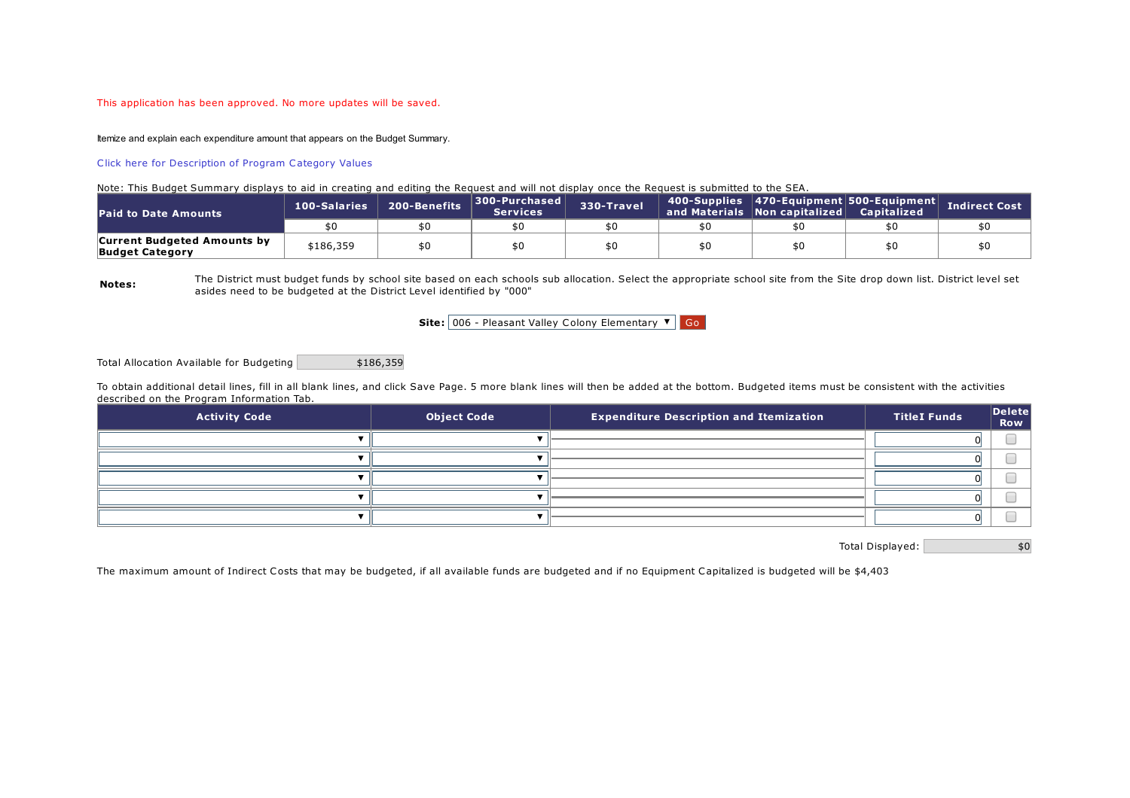### This application has been approved. No more updates will be saved.

Itemize and explain each expenditure amount that appears on the Budget Summary.

### Click here for [Description](https://sddoe.mtwgms.org/sddoegmsweb/PageRefDocs/ProgramCategoryDescriptions.pdf) of Program Category Values

#### Note: This Budget Summary displays to aid in creating and editing the Request and will not display once the Request is submitted to the SEA.

| <b>Paid to Date Amounts</b>                                  | 100-Salaries | 200-Benefits | 300-Purchased<br><b>Services</b> | 330-Travel | 400-Supplies 470-Equipment 500-Equipment<br>and Materials Non capitalized | <b>Capitalized</b> | <b>Indirect Cost</b> |
|--------------------------------------------------------------|--------------|--------------|----------------------------------|------------|---------------------------------------------------------------------------|--------------------|----------------------|
|                                                              |              | \$0          | \$0                              |            |                                                                           |                    |                      |
| <b>Current Budgeted Amounts by</b><br><b>Budget Category</b> | \$186,359    | \$0          | \$0                              |            |                                                                           |                    |                      |

Notes:

The District must budget funds by school site based on each schools sub allocation. Select the appropriate school site from the Site drop down list. District level set asides need to be budgeted at the District Level identified by "000"

Site: 006 - Pleasant Valley Colony Elementary  $\bullet$  Go

Total Allocation Available for Budgeting \$186,359

To obtain additional detail lines, fill in all blank lines, and click Save Page. 5 more blank lines will then be added at the bottom. Budgeted items must be consistent with the activities described on the Program Information Tab.

| <b>Activity Code</b> | <b>Object Code</b> | <b>Expenditure Description and Itemization</b> | <b>TitleI Funds</b> | $\vert$ Delete $\vert$<br><b>Row</b> |
|----------------------|--------------------|------------------------------------------------|---------------------|--------------------------------------|
|                      |                    |                                                |                     |                                      |
|                      |                    |                                                |                     |                                      |
|                      |                    |                                                |                     |                                      |
|                      |                    |                                                |                     |                                      |
|                      |                    |                                                |                     |                                      |

Total Displayed:  $$0$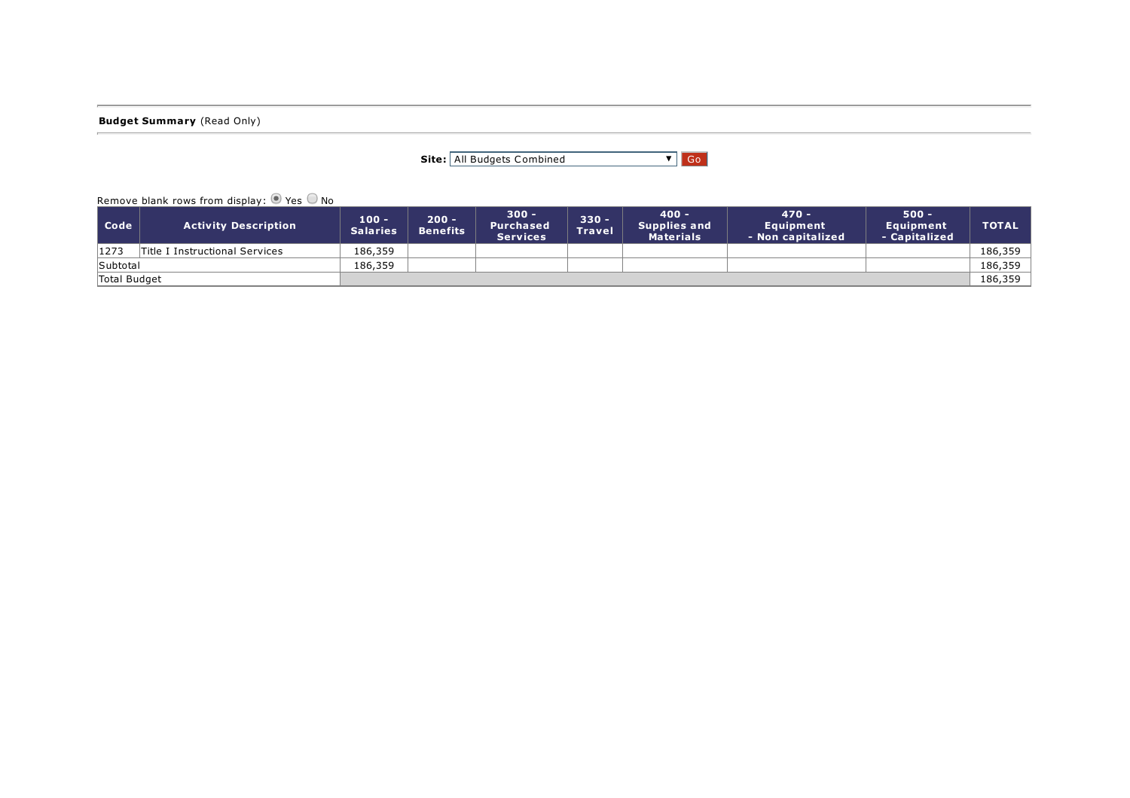**Budget Summary** (Read Only)

| Site:   All Budgets Combined | $\nabla$   Go |  |
|------------------------------|---------------|--|
|                              |               |  |

Remove blank rows from display:  $\bullet$  Yes  $\circledcirc$  No

| Code         | <b>Activity Description</b>    | 100 -<br><b>Salaries</b> | $200 -$<br><b>Benefits</b> | - 300<br>Purchased<br><b>Services</b> | $330 -$<br><b>Travel</b> | 400 -<br><b>Supplies and</b><br>Materials | $470 -$<br><b>Equipment</b><br>- Non capitalized | $500 -$<br><b>Equipment</b><br>- Capitalized | <b>TOTAL</b> |
|--------------|--------------------------------|--------------------------|----------------------------|---------------------------------------|--------------------------|-------------------------------------------|--------------------------------------------------|----------------------------------------------|--------------|
| 1273         | Title I Instructional Services | 186,359                  |                            |                                       |                          |                                           |                                                  |                                              | 186.359      |
| Subtotal     |                                | 186,359                  |                            |                                       |                          |                                           |                                                  |                                              | 186,359      |
| Total Budget |                                |                          |                            |                                       |                          |                                           |                                                  |                                              | 186,359      |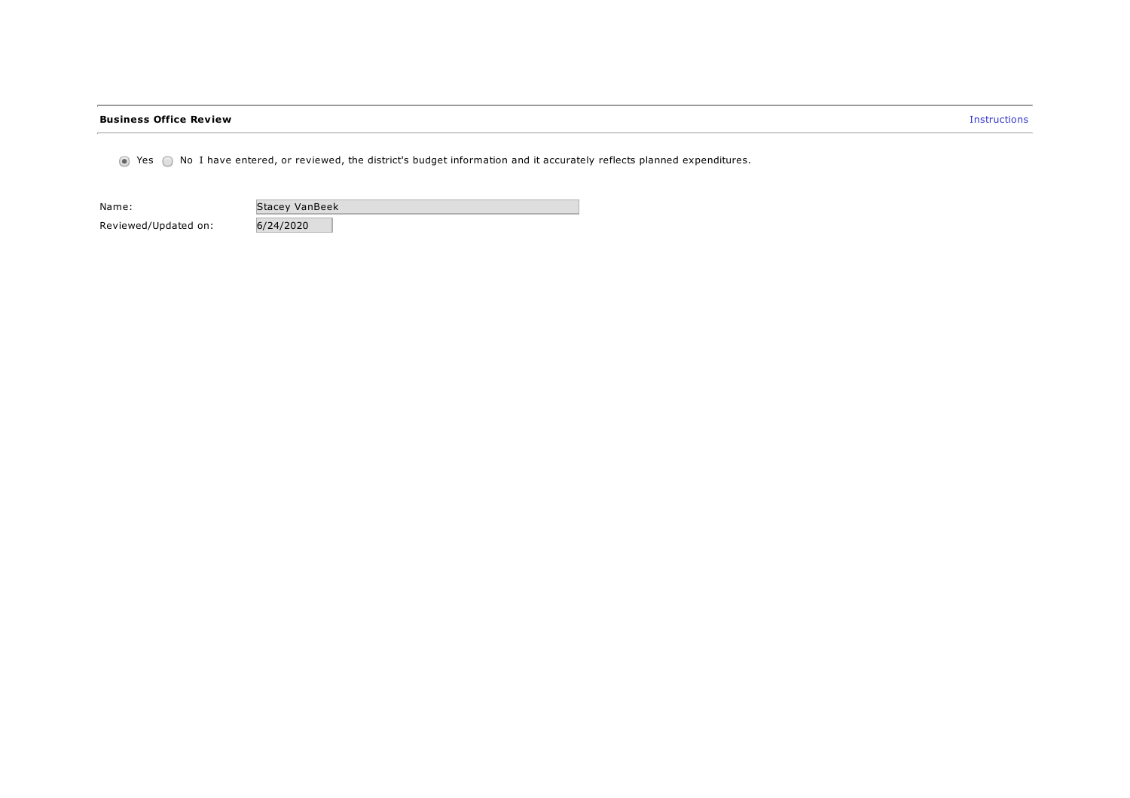### **Business Office Review Instructions**

 $\odot$  Yes  $\odot$  No I have entered, or reviewed, the district's budget information and it accurately reflects planned expenditures.

| Name:                | Stacey VanBeek |
|----------------------|----------------|
| Reviewed/Updated on: | 6/24/2020      |